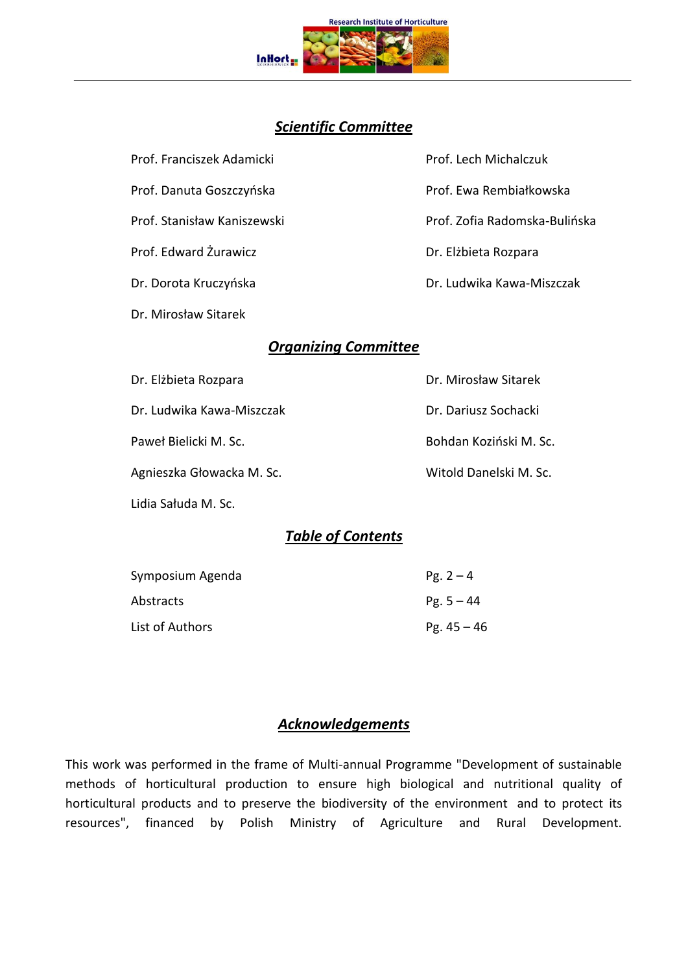

# *Scientific Committee*

Dr. Mirosław Sitarek

Prof. Franciszek Adamicki Prof. Lech Michalczuk Prof. Danuta Goszczyńska Prof. Ewa Rembiałkowska Prof. Stanisław Kaniszewski Prof. Zofia Radomska-Bulińska Prof. Edward Żurawicz **Dr. Elżbieta Rozpara** Dr. Dorota Kruczyńska **Dr. Ludwika Kawa-Miszczak** 

# *Organizing Committee*

Dr. Elżbieta Rozpara **Dr. Mirosław Sitarek** 

Dr. Ludwika Kawa-Miszczak Dr. Dariusz Sochacki

Agnieszka Głowacka M. Sc. Witold Danelski M. Sc.

Lidia Sałuda M. Sc.

Paweł Bielicki M. Sc. Bohdan Koziński M. Sc.

# *Table of Contents*

| Symposium Agenda | $Pg. 2 - 4$   |
|------------------|---------------|
| Abstracts        | $Pg. 5 - 44$  |
| List of Authors  | Pg. $45 - 46$ |

# *Acknowledgements*

This work was performed in the frame of Multi-annual Programme "Development of sustainable methods of horticultural production to ensure high biological and nutritional quality of horticultural products and to preserve the biodiversity of the environment and to protect its resources", financed by Polish Ministry of Agriculture and Rural Development.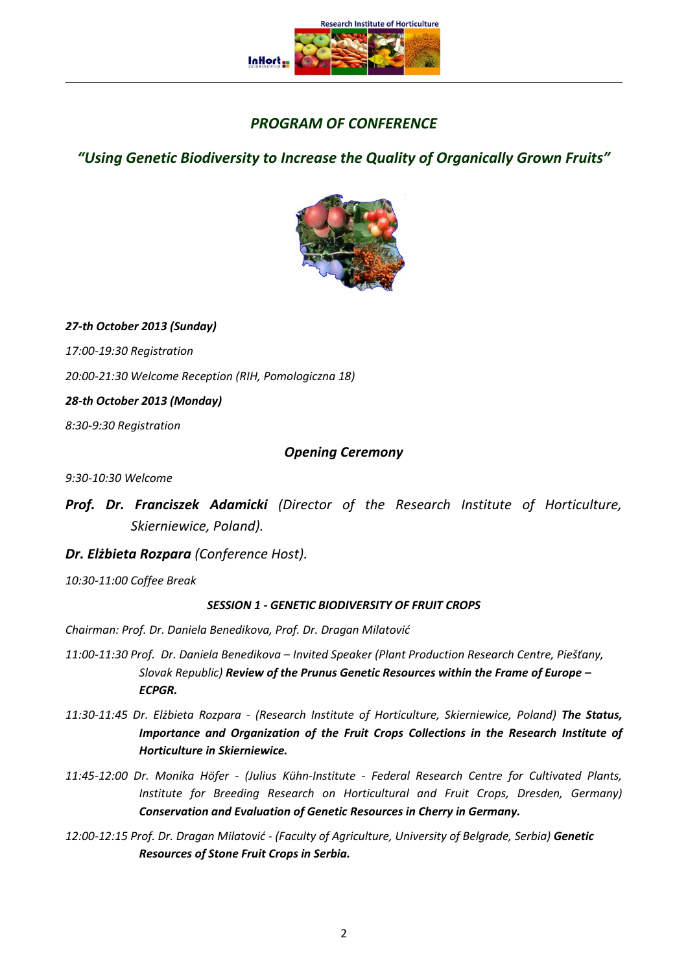

# *PROGRAM OF CONFERENCE*

*"Using Genetic Biodiversity to Increase the Quality of Organically Grown Fruits"*



*27-th October 2013 (Sunday)* 

*17:00-19:30 Registration* 

*20:00-21:30 Welcome Reception (RIH, Pomologiczna 18)*

*28-th October 2013 (Monday)*

*8:30-9:30 Registration*

# *Opening Ceremony*

*9:30-10:30 Welcome* 

*Prof. Dr. Franciszek Adamicki (Director of the Research Institute of Horticulture, Skierniewice, Poland).*

# *Dr. Elżbieta Rozpara (Conference Host).*

*10:30-11:00 Coffee Break*

## *SESSION 1 - GENETIC BIODIVERSITY OF FRUIT CROPS*

*Chairman: Prof. Dr. Daniela Benedikova, Prof. Dr. Dragan Milatović*

- *11:00-11:30 Prof. Dr. Daniela Benedikova – Invited Speaker (Plant Production Research Centre, Piešťany, Slovak Republic) Review of the Prunus Genetic Resources within the Frame of Europe – ECPGR.*
- *11:30-11:45 Dr. Elżbieta Rozpara - (Research Institute of Horticulture, Skierniewice, Poland) The Status, Importance and Organization of the Fruit Crops Collections in the Research Institute of Horticulture in Skierniewice.*
- *11:45-12:00 Dr. Monika Höfer - (Julius Kühn-Institute - Federal Research Centre for Cultivated Plants, Institute for Breeding Research on Horticultural and Fruit Crops, Dresden, Germany) Conservation and Evaluation of Genetic Resources in Cherry in Germany.*
- *12:00-12:15 Prof. Dr. Dragan Milatović - (Faculty of Agriculture, University of Belgrade, Serbia) Genetic Resources of Stone Fruit Crops in Serbia.*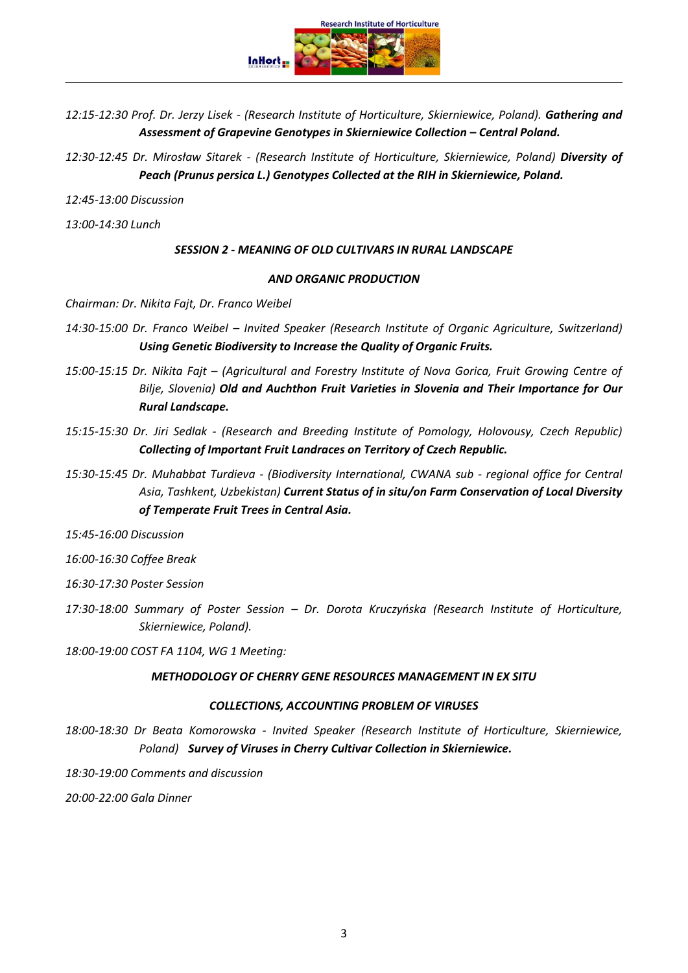**Research Institute of Horticulture InHort** 

*12:15-12:30 Prof. Dr. Jerzy Lisek - (Research Institute of Horticulture, Skierniewice, Poland). Gathering and*  Assessment of Grapevine Genotypes in Skierniewice Collection – Central Poland.

*12:30-12:45 Dr. Mirosław Sitarek - (Research Institute of Horticulture, Skierniewice, Poland) Diversity of Peach (Prunus persica L.) Genotypes Collected at the RIH in Skierniewice, Poland.*

*12:45-13:00 Discussion*

*13:00-14:30 Lunch*

#### *SESSION 2 - MEANING OF OLD CULTIVARS IN RURAL LANDSCAPE*

#### *AND ORGANIC PRODUCTION*

*Chairman: Dr. Nikita Fajt, Dr. Franco Weibel*

- *14:30-15:00 Dr. Franco Weibel – Invited Speaker (Research Institute of Organic Agriculture, Switzerland) Using Genetic Biodiversity to Increase the Quality of Organic Fruits.*
- *15:00-15:15 Dr. Nikita Fajt – (Agricultural and Forestry Institute of Nova Gorica, Fruit Growing Centre of Bilje, Slovenia) Old and Auchthon Fruit Varieties in Slovenia and Their Importance for Our Rural Landscape.*
- *15:15-15:30 Dr. Jiri Sedlak - (Research and Breeding Institute of Pomology, Holovousy, Czech Republic) Collecting of Important Fruit Landraces on Territory of Czech Republic.*
- *15:30-15:45 Dr. Muhabbat Turdieva - (Biodiversity International, CWANA sub - regional office for Central Asia, Tashkent, Uzbekistan) Current Status of in situ/on Farm Conservation of Local Diversity of Temperate Fruit Trees in Central Asia.*

*15:45-16:00 Discussion*

*16:00-16:30 Coffee Break*

*16:30-17:30 Poster Session*

*17:30-18:00 Summary of Poster Session – Dr. Dorota Kruczyńska (Research Institute of Horticulture, Skierniewice, Poland).*

*18:00-19:00 COST FA 1104, WG 1 Meeting:* 

#### *METHODOLOGY OF CHERRY GENE RESOURCES MANAGEMENT IN EX SITU*

#### *COLLECTIONS, ACCOUNTING PROBLEM OF VIRUSES*

*18:00-18:30 Dr Beata Komorowska - Invited Speaker (Research Institute of Horticulture, Skierniewice, Poland) Survey of Viruses in Cherry Cultivar Collection in Skierniewice.*

*18:30-19:00 Comments and discussion* 

*20:00-22:00 Gala Dinner*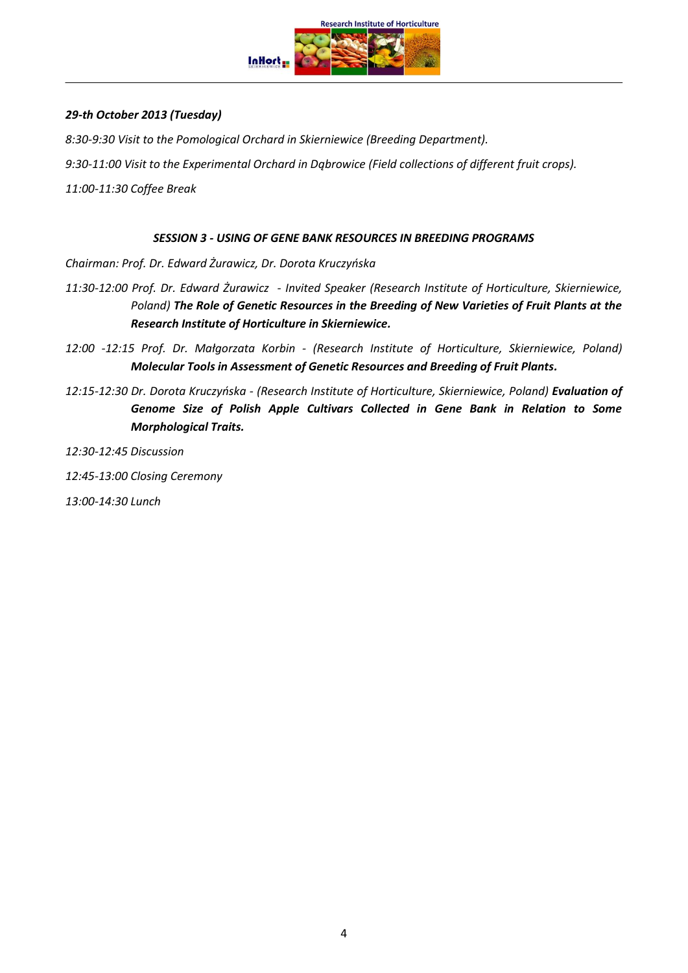

## *29-th October 2013 (Tuesday)*

*8:30-9:30 Visit to the Pomological Orchard in Skierniewice (Breeding Department).*

*9:30-11:00 Visit to the Experimental Orchard in Dąbrowice (Field collections of different fruit crops).*

*11:00-11:30 Coffee Break*

#### *SESSION 3 - USING OF GENE BANK RESOURCES IN BREEDING PROGRAMS*

*Chairman: Prof. Dr. Edward Żurawicz, Dr. Dorota Kruczyńska*

- *11:30-12:00 Prof. Dr. Edward Żurawicz - Invited Speaker (Research Institute of Horticulture, Skierniewice, Poland) The Role of Genetic Resources in the Breeding of New Varieties of Fruit Plants at the Research Institute of Horticulture in Skierniewice.*
- *12:00 -12:15 Prof. Dr. Małgorzata Korbin - (Research Institute of Horticulture, Skierniewice, Poland) Molecular Tools in Assessment of Genetic Resources and Breeding of Fruit Plants.*
- *12:15-12:30 Dr. Dorota Kruczyńska - (Research Institute of Horticulture, Skierniewice, Poland) Evaluation of Genome Size of Polish Apple Cultivars Collected in Gene Bank in Relation to Some Morphological Traits.*

*12:30-12:45 Discussion*

*12:45-13:00 Closing Ceremony*

*13:00-14:30 Lunch*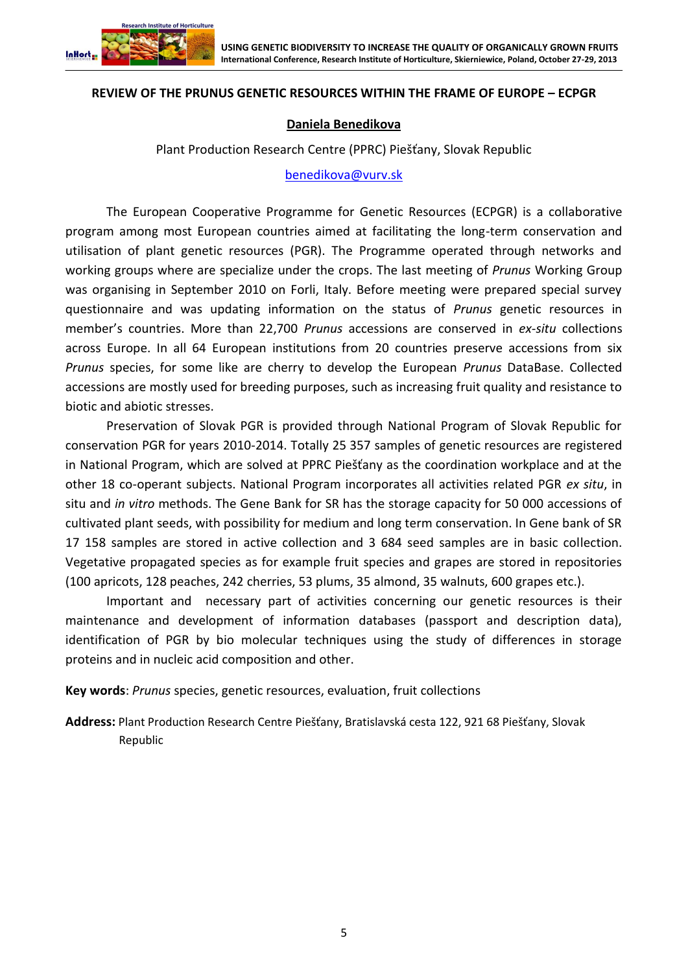

### **REVIEW OF THE PRUNUS GENETIC RESOURCES WITHIN THE FRAME OF EUROPE – ECPGR**

#### **Daniela Benedikova**

Plant Production Research Centre (PPRC) Piešťany, Slovak Republic

[benedikova@vurv.sk](file:///C:/Users/Witek/AppData/Roaming/Microsoft/Word/benedikova@vurv.sk)

The European Cooperative Programme for Genetic Resources (ECPGR) is a collaborative program among most European countries aimed at facilitating the long-term conservation and utilisation of plant genetic resources (PGR). The Programme operated through networks and working groups where are specialize under the crops. The last meeting of *Prunus* Working Group was organising in September 2010 on Forli, Italy. Before meeting were prepared special survey questionnaire and was updating information on the status of *Prunus* genetic resources in member's countries. More than 22,700 *Prunus* accessions are conserved in *ex-situ* collections across Europe. In all 64 European institutions from 20 countries preserve accessions from six *Prunus* species, for some like are cherry to develop the European *Prunus* DataBase. Collected accessions are mostly used for breeding purposes, such as increasing fruit quality and resistance to biotic and abiotic stresses.

Preservation of Slovak PGR is provided through National Program of Slovak Republic for conservation PGR for years 2010-2014. Totally 25 357 samples of genetic resources are registered in National Program, which are solved at PPRC Piešťany as the coordination workplace and at the other 18 co-operant subjects. National Program incorporates all activities related PGR *ex situ*, in situ and *in vitro* methods. The Gene Bank for SR has the storage capacity for 50 000 accessions of cultivated plant seeds, with possibility for medium and long term conservation. In Gene bank of SR 17 158 samples are stored in active collection and 3 684 seed samples are in basic collection. Vegetative propagated species as for example fruit species and grapes are stored in repositories (100 apricots, 128 peaches, 242 cherries, 53 plums, 35 almond, 35 walnuts, 600 grapes etc.).

Important and necessary part of activities concerning our genetic resources is their maintenance and development of information databases (passport and description data), identification of PGR by bio molecular techniques using the study of differences in storage proteins and in nucleic acid composition and other.

**Key words**: *Prunus* species, genetic resources, evaluation, fruit collections

**Address:** Plant Production Research Centre Piešťany, Bratislavská cesta 122, 921 68 Piešťany, Slovak Republic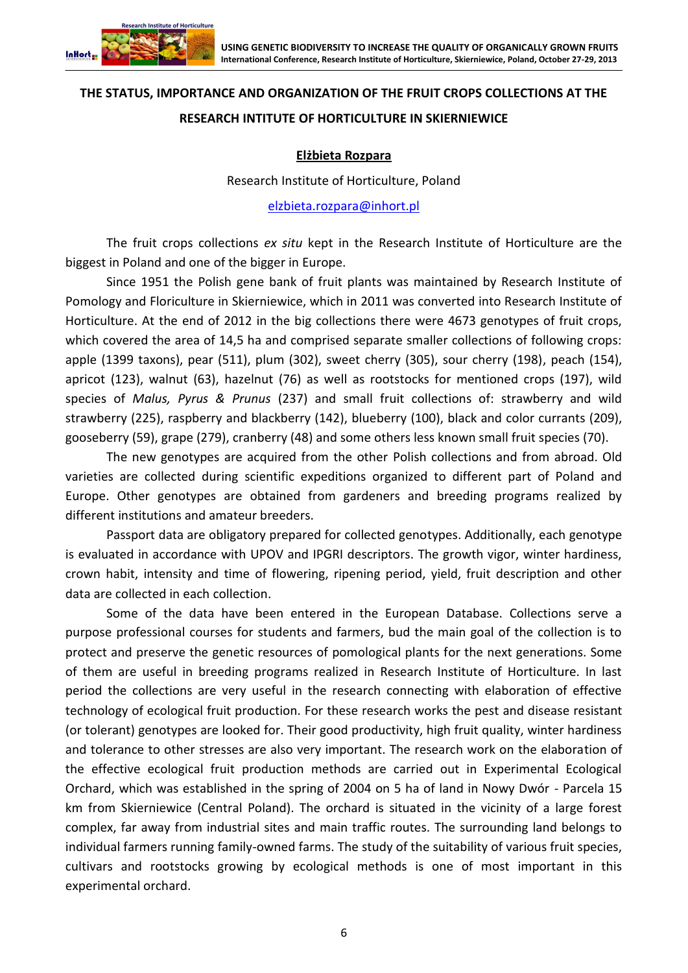

# **THE STATUS, IMPORTANCE AND ORGANIZATION OF THE FRUIT CROPS COLLECTIONS AT THE RESEARCH INTITUTE OF HORTICULTURE IN SKIERNIEWICE**

# **Elżbieta Rozpara**

Research Institute of Horticulture, Poland

[elzbieta.rozpara@inhort.pl](file:///C:/Users/Witek/AppData/Roaming/Microsoft/Word/elzbieta.rozpara@inhort.pl)

The fruit crops collections *ex situ* kept in the Research Institute of Horticulture are the biggest in Poland and one of the bigger in Europe.

Since 1951 the Polish gene bank of fruit plants was maintained by Research Institute of Pomology and Floriculture in Skierniewice, which in 2011 was converted into Research Institute of Horticulture. At the end of 2012 in the big collections there were 4673 genotypes of fruit crops, which covered the area of 14,5 ha and comprised separate smaller collections of following crops: apple (1399 taxons), pear (511), plum (302), sweet cherry (305), sour cherry (198), peach (154), apricot (123), walnut (63), hazelnut (76) as well as rootstocks for mentioned crops (197), wild species of *Malus, Pyrus & Prunus* (237) and small fruit collections of: strawberry and wild strawberry (225), raspberry and blackberry (142), blueberry (100), black and color currants (209), gooseberry (59), grape (279), cranberry (48) and some others less known small fruit species (70).

The new genotypes are acquired from the other Polish collections and from abroad. Old varieties are collected during scientific expeditions organized to different part of Poland and Europe. Other genotypes are obtained from gardeners and breeding programs realized by different institutions and amateur breeders.

Passport data are obligatory prepared for collected genotypes. Additionally, each genotype is evaluated in accordance with UPOV and IPGRI descriptors. The growth vigor, winter hardiness, crown habit, intensity and time of flowering, ripening period, yield, fruit description and other data are collected in each collection.

Some of the data have been entered in the European Database. Collections serve a purpose professional courses for students and farmers, bud the main goal of the collection is to protect and preserve the genetic resources of pomological plants for the next generations. Some of them are useful in breeding programs realized in Research Institute of Horticulture. In last period the collections are very useful in the research connecting with elaboration of effective technology of ecological fruit production. For these research works the pest and disease resistant (or tolerant) genotypes are looked for. Their good productivity, high fruit quality, winter hardiness and tolerance to other stresses are also very important. The research work on the elaboration of the effective ecological fruit production methods are carried out in Experimental Ecological Orchard, which was established in the spring of 2004 on 5 ha of land in Nowy Dwór - Parcela 15 km from Skierniewice (Central Poland). The orchard is situated in the vicinity of a large forest complex, far away from industrial sites and main traffic routes. The surrounding land belongs to individual farmers running family-owned farms. The study of the suitability of various fruit species, cultivars and rootstocks growing by ecological methods is one of most important in this experimental orchard.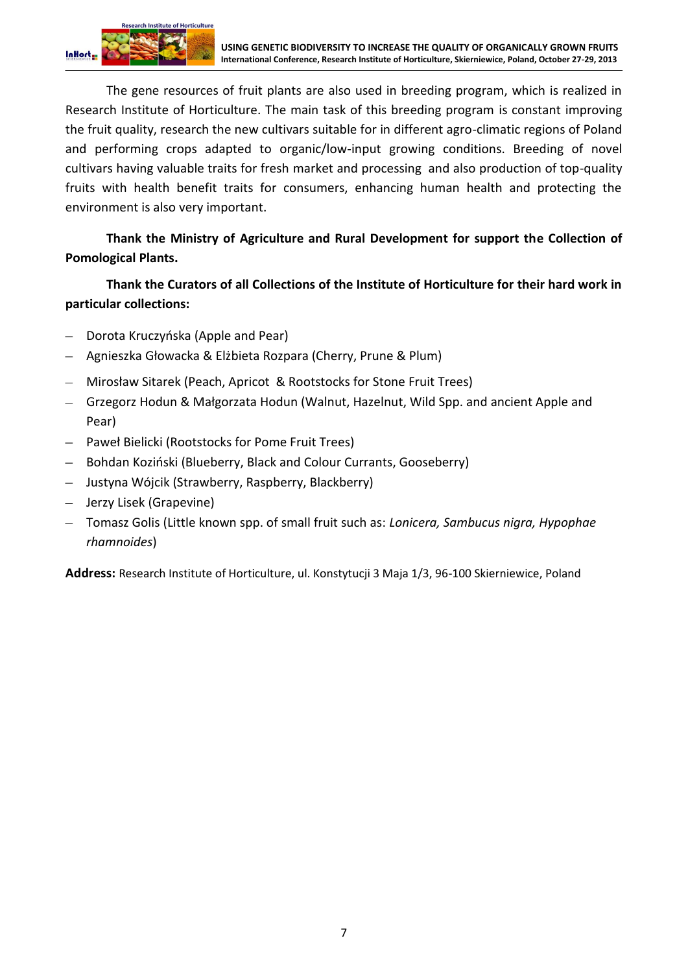

The gene resources of fruit plants are also used in breeding program, which is realized in Research Institute of Horticulture. The main task of this breeding program is constant improving the fruit quality, research the new cultivars suitable for in different agro-climatic regions of Poland and performing crops adapted to organic/low-input growing conditions. Breeding of novel cultivars having valuable traits for fresh market and processing and also production of top-quality fruits with health benefit traits for consumers, enhancing human health and protecting the environment is also very important.

**Thank the Ministry of Agriculture and Rural Development for support the Collection of Pomological Plants.**

**Thank the Curators of all Collections of the Institute of Horticulture for their hard work in particular collections:**

- Dorota Kruczyńska (Apple and Pear)
- Agnieszka Głowacka & Elżbieta Rozpara (Cherry, Prune & Plum)
- Mirosław Sitarek (Peach, Apricot & Rootstocks for Stone Fruit Trees)
- Grzegorz Hodun & Małgorzata Hodun (Walnut, Hazelnut, Wild Spp. and ancient Apple and Pear)
- Paweł Bielicki (Rootstocks for Pome Fruit Trees)
- Bohdan Koziński (Blueberry, Black and Colour Currants, Gooseberry)
- Justyna Wójcik (Strawberry, Raspberry, Blackberry)
- Jerzy Lisek (Grapevine)
- Tomasz Golis (Little known spp. of small fruit such as: *Lonicera, Sambucus nigra, Hypophae rhamnoides*)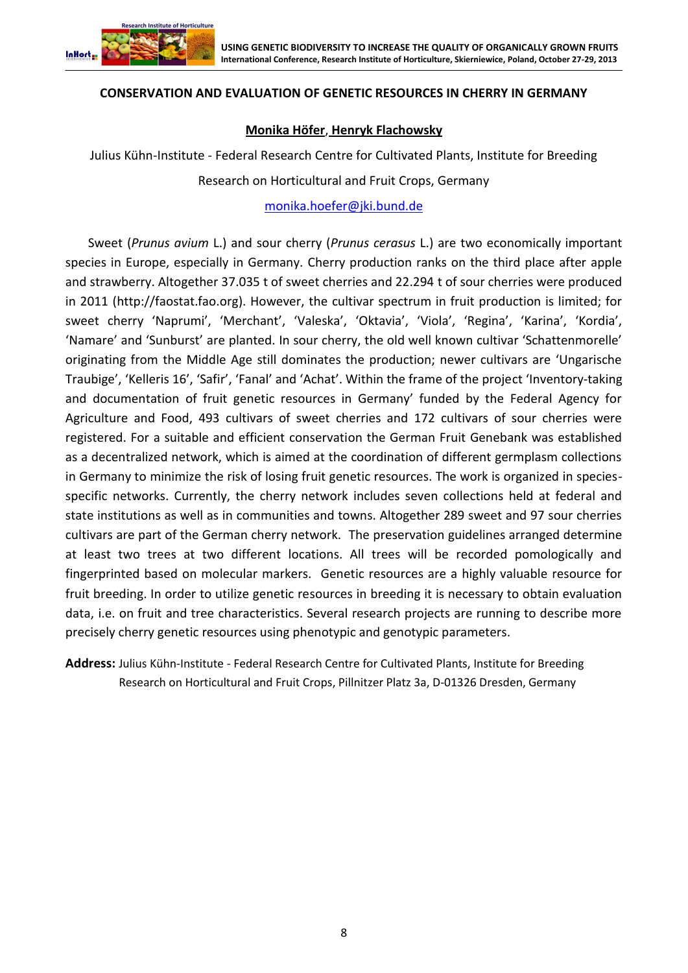

### **CONSERVATION AND EVALUATION OF GENETIC RESOURCES IN CHERRY IN GERMANY**

#### **Monika Höfer**, **Henryk Flachowsky**

Julius Kühn-Institute - Federal Research Centre for Cultivated Plants, Institute for Breeding

Research on Horticultural and Fruit Crops, Germany

[monika.hoefer@jki.bund.de](file:///C:/Users/Witek/AppData/Roaming/Microsoft/Word/monika.hoefer@jki.bund.de)

Sweet (*Prunus avium* L.) and sour cherry (*Prunus cerasus* L.) are two economically important species in Europe, especially in Germany. Cherry production ranks on the third place after apple and strawberry. Altogether 37.035 t of sweet cherries and 22.294 t of sour cherries were produced in 2011 (http://faostat.fao.org). However, the cultivar spectrum in fruit production is limited; for sweet cherry 'Naprumi', 'Merchant', 'Valeska', 'Oktavia', 'Viola', 'Regina', 'Karina', 'Kordia', 'Namare' and 'Sunburst' are planted. In sour cherry, the old well known cultivar 'Schattenmorelle' originating from the Middle Age still dominates the production; newer cultivars are 'Ungarische Traubige', 'Kelleris 16', 'Safir', 'Fanal' and 'Achat'. Within the frame of the project 'Inventory-taking and documentation of fruit genetic resources in Germany' funded by the Federal Agency for Agriculture and Food, 493 cultivars of sweet cherries and 172 cultivars of sour cherries were registered. For a suitable and efficient conservation the German Fruit Genebank was established as a decentralized network, which is aimed at the coordination of different germplasm collections in Germany to minimize the risk of losing fruit genetic resources. The work is organized in speciesspecific networks. Currently, the cherry network includes seven collections held at federal and state institutions as well as in communities and towns. Altogether 289 sweet and 97 sour cherries cultivars are part of the German cherry network*.* The preservation guidelines arranged determine at least two trees at two different locations. All trees will be recorded pomologically and fingerprinted based on molecular markers. Genetic resources are a highly valuable resource for fruit breeding. In order to utilize genetic resources in breeding it is necessary to obtain evaluation data, i.e. on fruit and tree characteristics. Several research projects are running to describe more precisely cherry genetic resources using phenotypic and genotypic parameters.

**Address:** Julius Kühn-Institute - Federal Research Centre for Cultivated Plants, Institute for Breeding Research on Horticultural and Fruit Crops, Pillnitzer Platz 3a, D-01326 Dresden, Germany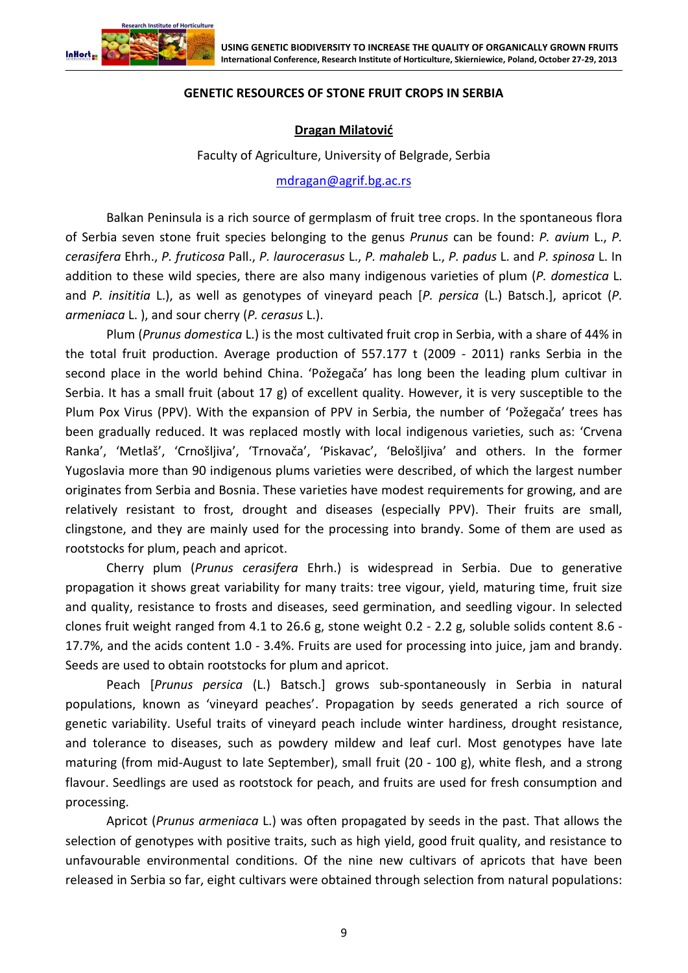

## **GENETIC RESOURCES OF STONE FRUIT CROPS IN SERBIA**

## **Dragan Milatović**

Faculty of Agriculture, University of Belgrade, Serbia

#### [mdragan@agrif.bg.ac.rs](file:///C:/Users/Witek/AppData/Roaming/Microsoft/Word/mdragan@agrif.bg.ac.rs)

Balkan Peninsula is a rich source of germplasm of fruit tree crops. In the spontaneous flora of Serbia seven stone fruit species belonging to the genus *Prunus* can be found: *P. avium* L., *P. cerasifera* Ehrh., *P. fruticosa* Pall., *P. laurocerasus* L., *P. mahaleb* L., *P. padus* L. and *P. spinosa* L. In addition to these wild species, there are also many indigenous varieties of plum (*P. domestica* L. and *P. insititia* L.), as well as genotypes of vineyard peach [*P. persica* (L.) Batsch.], apricot (*P. armeniaca* L. ), and sour cherry (*P. cerasus* L.).

Plum (*Prunus domestica* L.) is the most cultivated fruit crop in Serbia, with a share of 44% in the total fruit production. Average production of 557.177 t (2009 - 2011) ranks Serbia in the second place in the world behind China. 'Požegača' has long been the leading plum cultivar in Serbia. It has a small fruit (about 17 g) of excellent quality. However, it is very susceptible to the Plum Pox Virus (PPV). With the expansion of PPV in Serbia, the number of 'Požegača' trees has been gradually reduced. It was replaced mostly with local indigenous varieties, such as: 'Crvena Ranka', 'Metlaš', 'Crnošljiva', 'Trnovača', 'Piskavac', 'Belošljiva' and others. In the former Yugoslavia more than 90 indigenous plums varieties were described, of which the largest number originates from Serbia and Bosnia. These varieties have modest requirements for growing, and are relatively resistant to frost, drought and diseases (especially PPV). Their fruits are small, clingstone, and they are mainly used for the processing into brandy. Some of them are used as rootstocks for plum, peach and apricot.

Cherry plum (*Prunus cerasifera* Ehrh.) is widespread in Serbia. Due to generative propagation it shows great variability for many traits: tree vigour, yield, maturing time, fruit size and quality, resistance to frosts and diseases, seed germination, and seedling vigour. In selected clones fruit weight ranged from 4.1 to 26.6 g, stone weight 0.2 - 2.2 g, soluble solids content 8.6 - 17.7%, and the acids content 1.0 - 3.4%. Fruits are used for processing into juice, jam and brandy. Seeds are used to obtain rootstocks for plum and apricot.

Peach [*Prunus persica* (L.) Batsch.] grows sub-spontaneously in Serbia in natural populations, known as 'vineyard peaches'. Propagation by seeds generated a rich source of genetic variability. Useful traits of vineyard peach include winter hardiness, drought resistance, and tolerance to diseases, such as powdery mildew and leaf curl. Most genotypes have late maturing (from mid-August to late September), small fruit (20 - 100 g), white flesh, and a strong flavour. Seedlings are used as rootstock for peach, and fruits are used for fresh consumption and processing.

Apricot (*Prunus armeniaca* L.) was often propagated by seeds in the past. That allows the selection of genotypes with positive traits, such as high yield, good fruit quality, and resistance to unfavourable environmental conditions. Of the nine new cultivars of apricots that have been released in Serbia so far, eight cultivars were obtained through selection from natural populations: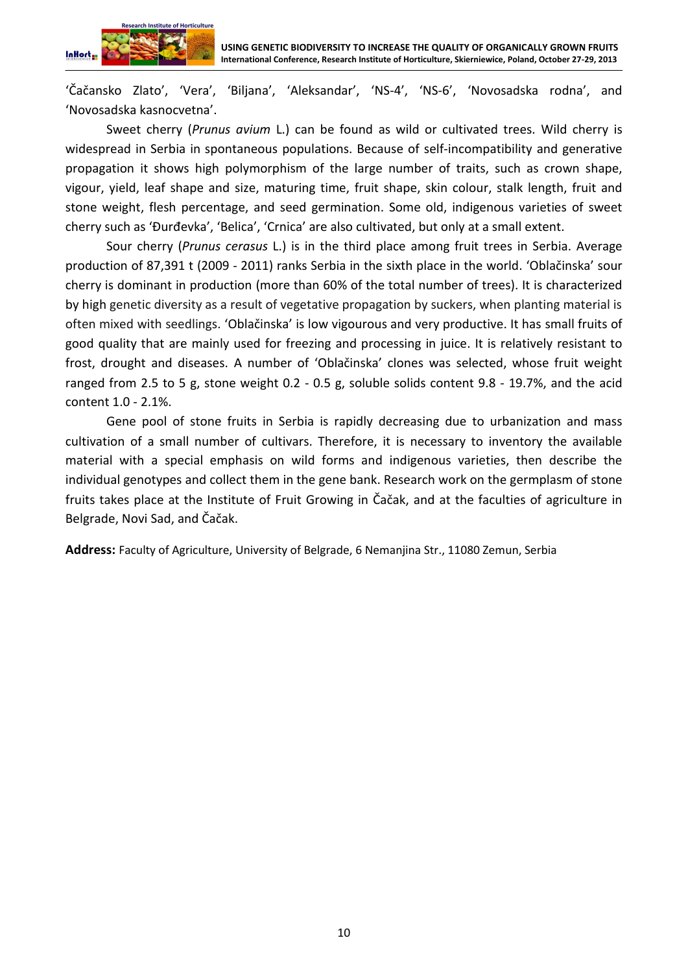

'Čačansko Zlato', 'Vera', 'Biljana', 'Aleksandar', 'NS-4', 'NS-6', 'Novosadska rodna', and 'Novosadska kasnocvetna'.

Sweet cherry (*Prunus avium* L.) can be found as wild or cultivated trees. Wild cherry is widespread in Serbia in spontaneous populations. Because of self-incompatibility and generative propagation it shows high polymorphism of the large number of traits, such as crown shape, vigour, yield, leaf shape and size, maturing time, fruit shape, skin colour, stalk length, fruit and stone weight, flesh percentage, and seed germination. Some old, indigenous varieties of sweet cherry such as 'Đurđevka', 'Belica', 'Crnica' are also cultivated, but only at a small extent.

Sour cherry (*Prunus cerasus* L.) is in the third place among fruit trees in Serbia. Average production of 87,391 t (2009 - 2011) ranks Serbia in the sixth place in the world. 'Oblačinska' sour cherry is dominant in production (more than 60% of the total number of trees). It is characterized by high genetic diversity as a result of vegetative propagation by suckers, when planting material is often mixed with seedlings. 'Oblačinska' is low vigourous and very productive. It has small fruits of good quality that are mainly used for freezing and processing in juice. It is relatively resistant to frost, drought and diseases. A number of 'Oblačinska' clones was selected, whose fruit weight ranged from 2.5 to 5 g, stone weight 0.2 - 0.5 g, soluble solids content 9.8 - 19.7%, and the acid content 1.0 - 2.1%.

Gene pool of stone fruits in Serbia is rapidly decreasing due to urbanization and mass cultivation of a small number of cultivars. Therefore, it is necessary to inventory the available material with a special emphasis on wild forms and indigenous varieties, then describe the individual genotypes and collect them in the gene bank. Research work on the germplasm of stone fruits takes place at the Institute of Fruit Growing in Čačak, and at the faculties of agriculture in Belgrade, Novi Sad, and Čačak.

**Address:** Faculty of Agriculture, University of Belgrade, 6 Nemanjina Str., 11080 Zemun, Serbia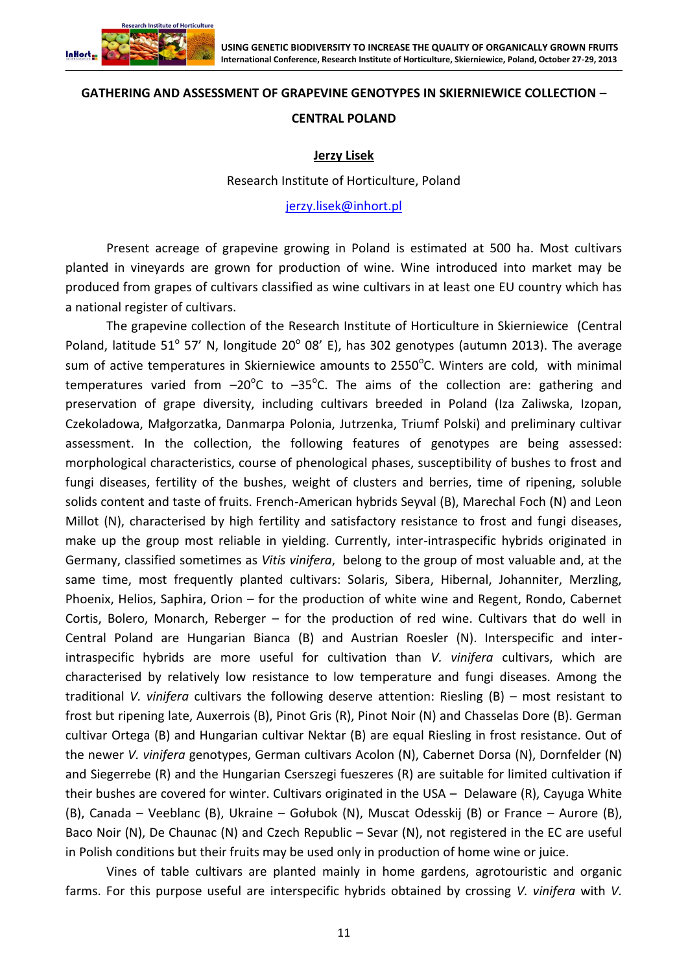

#### **GATHERING AND ASSESSMENT OF GRAPEVINE GENOTYPES IN SKIERNIEWICE COLLECTION –**

#### **CENTRAL POLAND**

#### **Jerzy Lisek**

#### Research Institute of Horticulture, Poland

#### [jerzy.lisek@inhort.pl](file:///C:/Users/Witek/AppData/Roaming/Microsoft/Word/jerzy.lisek@inhort.pl)

Present acreage of grapevine growing in Poland is estimated at 500 ha. Most cultivars planted in vineyards are grown for production of wine. Wine introduced into market may be produced from grapes of cultivars classified as wine cultivars in at least one EU country which has a national register of cultivars.

The grapevine collection of the Research Institute of Horticulture in Skierniewice (Central Poland, latitude 51° 57' N, longitude 20° 08' E), has 302 genotypes (autumn 2013). The average sum of active temperatures in Skierniewice amounts to 2550 $^{\circ}$ C. Winters are cold, with minimal temperatures varied from  $-20^{\circ}$ C to  $-35^{\circ}$ C. The aims of the collection are: gathering and preservation of grape diversity, including cultivars breeded in Poland (Iza Zaliwska, Izopan, Czekoladowa, Małgorzatka, Danmarpa Polonia, Jutrzenka, Triumf Polski) and preliminary cultivar assessment. In the collection, the following features of genotypes are being assessed: morphological characteristics, course of phenological phases, susceptibility of bushes to frost and fungi diseases, fertility of the bushes, weight of clusters and berries, time of ripening, soluble solids content and taste of fruits. French-American hybrids Seyval (B), Marechal Foch (N) and Leon Millot (N), characterised by high fertility and satisfactory resistance to frost and fungi diseases, make up the group most reliable in yielding. Currently, inter-intraspecific hybrids originated in Germany, classified sometimes as *Vitis vinifera*, belong to the group of most valuable and, at the same time, most frequently planted cultivars: Solaris, Sibera, Hibernal, Johanniter, Merzling, Phoenix, Helios, Saphira, Orion – for the production of white wine and Regent, Rondo, Cabernet Cortis, Bolero, Monarch, Reberger – for the production of red wine. Cultivars that do well in Central Poland are Hungarian Bianca (B) and Austrian Roesler (N). Interspecific and interintraspecific hybrids are more useful for cultivation than *V. vinifera* cultivars, which are characterised by relatively low resistance to low temperature and fungi diseases. Among the traditional *V. vinifera* cultivars the following deserve attention: Riesling (B) – most resistant to frost but ripening late, Auxerrois (B), Pinot Gris (R), Pinot Noir (N) and Chasselas Dore (B). German cultivar Ortega (B) and Hungarian cultivar Nektar (B) are equal Riesling in frost resistance. Out of the newer *V. vinifera* genotypes, German cultivars Acolon (N), Cabernet Dorsa (N), Dornfelder (N) and Siegerrebe (R) and the Hungarian Cserszegi fueszeres (R) are suitable for limited cultivation if their bushes are covered for winter. Cultivars originated in the USA – Delaware (R), Cayuga White (B), Canada – Veeblanc (B), Ukraine – Gołubok (N), Muscat Odesskij (B) or France – Aurore (B), Baco Noir (N), De Chaunac (N) and Czech Republic – Sevar (N), not registered in the EC are useful in Polish conditions but their fruits may be used only in production of home wine or juice.

Vines of table cultivars are planted mainly in home gardens, agrotouristic and organic farms. For this purpose useful are interspecific hybrids obtained by crossing *V. vinifera* with *V.*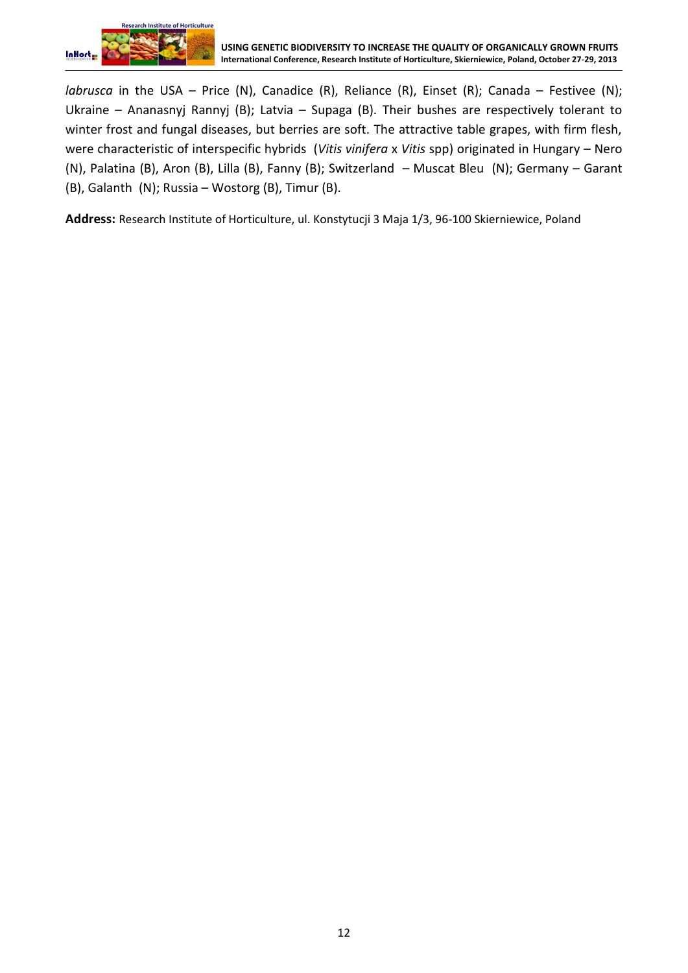

*labrusca* in the USA – Price (N), Canadice (R), Reliance (R), Einset (R); Canada – Festivee (N); Ukraine – Ananasnyj Rannyj (B); Latvia – Supaga (B). Their bushes are respectively tolerant to winter frost and fungal diseases, but berries are soft. The attractive table grapes, with firm flesh, were characteristic of interspecific hybrids (*Vitis vinifera* x *Vitis* spp) originated in Hungary – Nero (N), Palatina (B), Aron (B), Lilla (B), Fanny (B); Switzerland – Muscat Bleu (N); Germany – Garant (B), Galanth (N); Russia – Wostorg (B), Timur (B).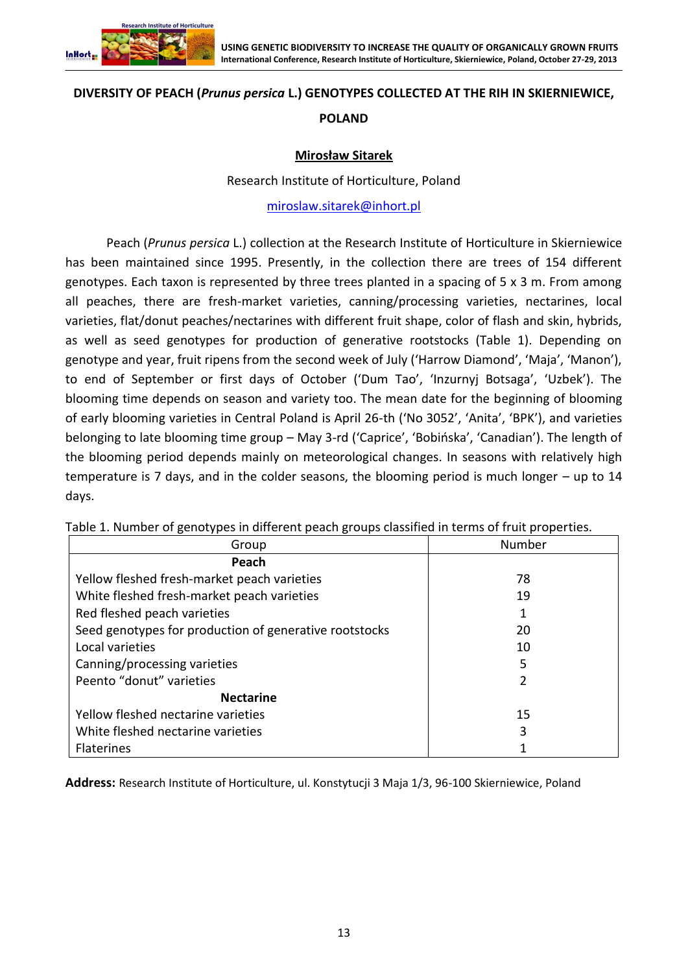

#### **DIVERSITY OF PEACH (***Prunus persica* **L.) GENOTYPES COLLECTED AT THE RIH IN SKIERNIEWICE,**

## **POLAND**

# **Mirosław Sitarek**

#### Research Institute of Horticulture, Poland

[miroslaw.sitarek@inhort.pl](file:///C:/Users/Witek/AppData/Roaming/Microsoft/Word/miroslaw.sitarek@inhort.pl)

Peach (*Prunus persica* L.) collection at the Research Institute of Horticulture in Skierniewice has been maintained since 1995. Presently, in the collection there are trees of 154 different genotypes. Each taxon is represented by three trees planted in a spacing of 5 x 3 m. From among all peaches, there are fresh-market varieties, canning/processing varieties, nectarines, local varieties, flat/donut peaches/nectarines with different fruit shape, color of flash and skin, hybrids, as well as seed genotypes for production of generative rootstocks (Table 1). Depending on genotype and year, fruit ripens from the second week of July ('Harrow Diamond', 'Maja', 'Manon'), to end of September or first days of October ('Dum Tao', 'Inzurnyj Botsaga', 'Uzbek'). The blooming time depends on season and variety too. The mean date for the beginning of blooming of early blooming varieties in Central Poland is April 26-th ('No 3052', 'Anita', 'BPK'), and varieties belonging to late blooming time group – May 3-rd ('Caprice', 'Bobińska', 'Canadian'). The length of the blooming period depends mainly on meteorological changes. In seasons with relatively high temperature is 7 days, and in the colder seasons, the blooming period is much longer – up to 14 days.

| Group                                                  | Number |
|--------------------------------------------------------|--------|
| Peach                                                  |        |
| Yellow fleshed fresh-market peach varieties            | 78     |
| White fleshed fresh-market peach varieties             | 19     |
| Red fleshed peach varieties                            |        |
| Seed genotypes for production of generative rootstocks | 20     |
| Local varieties                                        | 10     |
| Canning/processing varieties                           | 5      |
| Peento "donut" varieties                               | 2      |
| <b>Nectarine</b>                                       |        |
| Yellow fleshed nectarine varieties                     | 15     |
| White fleshed nectarine varieties                      | 3      |
| <b>Flaterines</b>                                      |        |

Table 1. Number of genotypes in different peach groups classified in terms of fruit properties.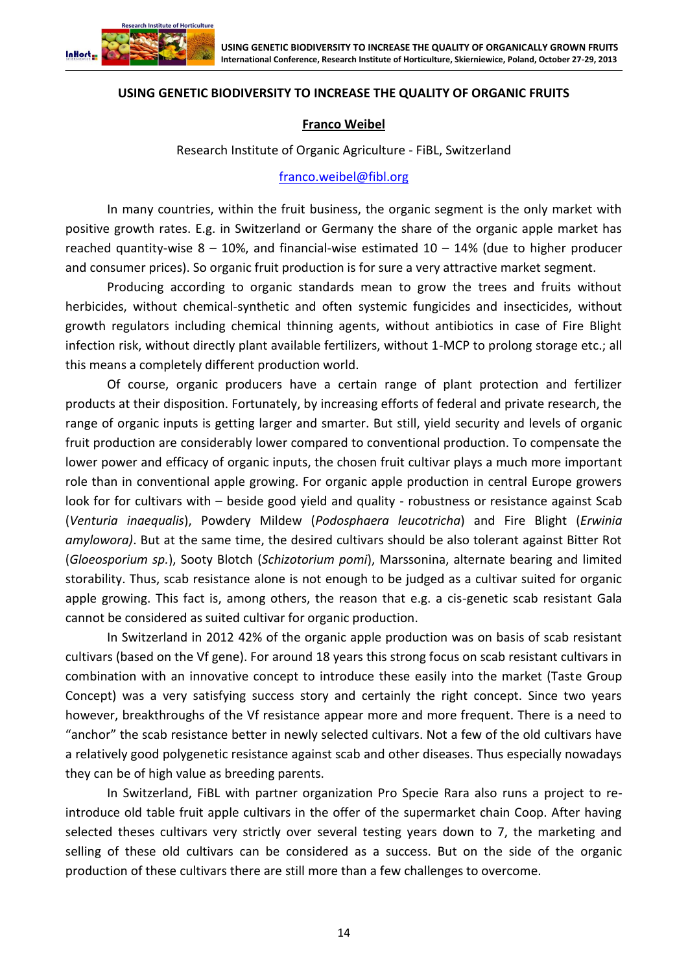

## **USING GENETIC BIODIVERSITY TO INCREASE THE QUALITY OF ORGANIC FRUITS**

#### **Franco Weibel**

Research Institute of Organic Agriculture - FiBL, Switzerland

#### [franco.weibel@fibl.org](file:///C:/Users/Witek/AppData/Roaming/Microsoft/Word/franco.weibel@fibl.org)

In many countries, within the fruit business, the organic segment is the only market with positive growth rates. E.g. in Switzerland or Germany the share of the organic apple market has reached quantity-wise  $8 - 10\%$ , and financial-wise estimated  $10 - 14\%$  (due to higher producer and consumer prices). So organic fruit production is for sure a very attractive market segment.

Producing according to organic standards mean to grow the trees and fruits without herbicides, without chemical-synthetic and often systemic fungicides and insecticides, without growth regulators including chemical thinning agents, without antibiotics in case of Fire Blight infection risk, without directly plant available fertilizers, without 1-MCP to prolong storage etc.; all this means a completely different production world.

Of course, organic producers have a certain range of plant protection and fertilizer products at their disposition. Fortunately, by increasing efforts of federal and private research, the range of organic inputs is getting larger and smarter. But still, yield security and levels of organic fruit production are considerably lower compared to conventional production. To compensate the lower power and efficacy of organic inputs, the chosen fruit cultivar plays a much more important role than in conventional apple growing. For organic apple production in central Europe growers look for for cultivars with – beside good yield and quality - robustness or resistance against Scab (*Venturia inaequalis*), Powdery Mildew (*Podosphaera leucotricha*) and Fire Blight (*Erwinia amylowora)*. But at the same time, the desired cultivars should be also tolerant against Bitter Rot (*Gloeosporium sp.*), Sooty Blotch (*Schizotorium pomi*), Marssonina, alternate bearing and limited storability. Thus, scab resistance alone is not enough to be judged as a cultivar suited for organic apple growing. This fact is, among others, the reason that e.g. a cis-genetic scab resistant Gala cannot be considered as suited cultivar for organic production.

In Switzerland in 2012 42% of the organic apple production was on basis of scab resistant cultivars (based on the Vf gene). For around 18 years this strong focus on scab resistant cultivars in combination with an innovative concept to introduce these easily into the market (Taste Group Concept) was a very satisfying success story and certainly the right concept. Since two years however, breakthroughs of the Vf resistance appear more and more frequent. There is a need to "anchor" the scab resistance better in newly selected cultivars. Not a few of the old cultivars have a relatively good polygenetic resistance against scab and other diseases. Thus especially nowadays they can be of high value as breeding parents.

In Switzerland, FiBL with partner organization Pro Specie Rara also runs a project to reintroduce old table fruit apple cultivars in the offer of the supermarket chain Coop. After having selected theses cultivars very strictly over several testing years down to 7, the marketing and selling of these old cultivars can be considered as a success. But on the side of the organic production of these cultivars there are still more than a few challenges to overcome.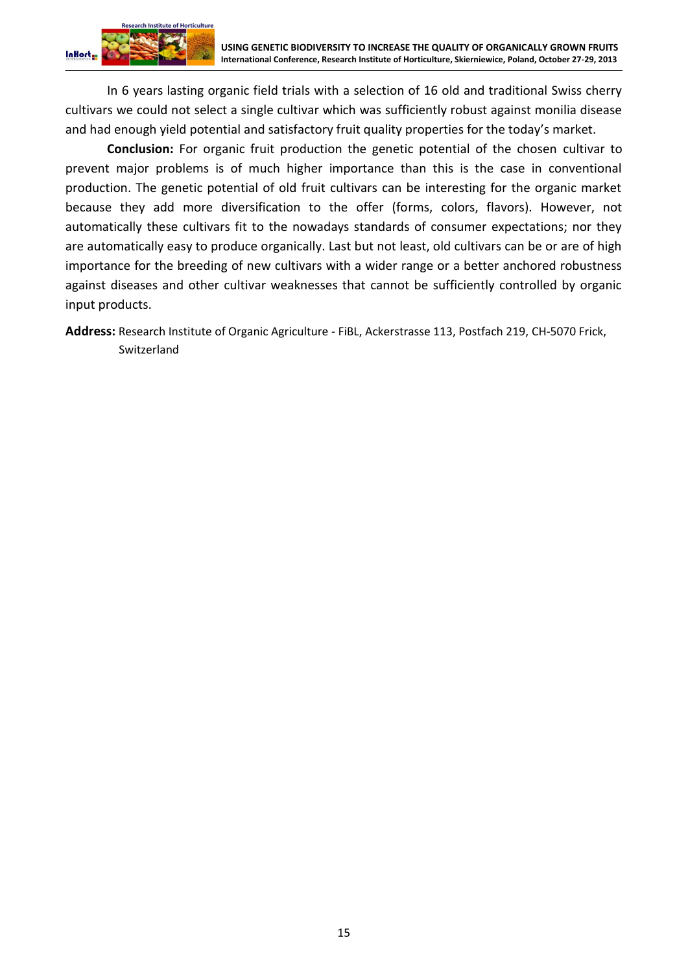In 6 years lasting organic field trials with a selection of 16 old and traditional Swiss cherry cultivars we could not select a single cultivar which was sufficiently robust against monilia disease and had enough yield potential and satisfactory fruit quality properties for the today's market.

**Conclusion:** For organic fruit production the genetic potential of the chosen cultivar to prevent major problems is of much higher importance than this is the case in conventional production. The genetic potential of old fruit cultivars can be interesting for the organic market because they add more diversification to the offer (forms, colors, flavors). However, not automatically these cultivars fit to the nowadays standards of consumer expectations; nor they are automatically easy to produce organically. Last but not least, old cultivars can be or are of high importance for the breeding of new cultivars with a wider range or a better anchored robustness against diseases and other cultivar weaknesses that cannot be sufficiently controlled by organic input products.

**Address:** Research Institute of Organic Agriculture - FiBL, Ackerstrasse 113, Postfach 219, CH-5070 Frick, Switzerland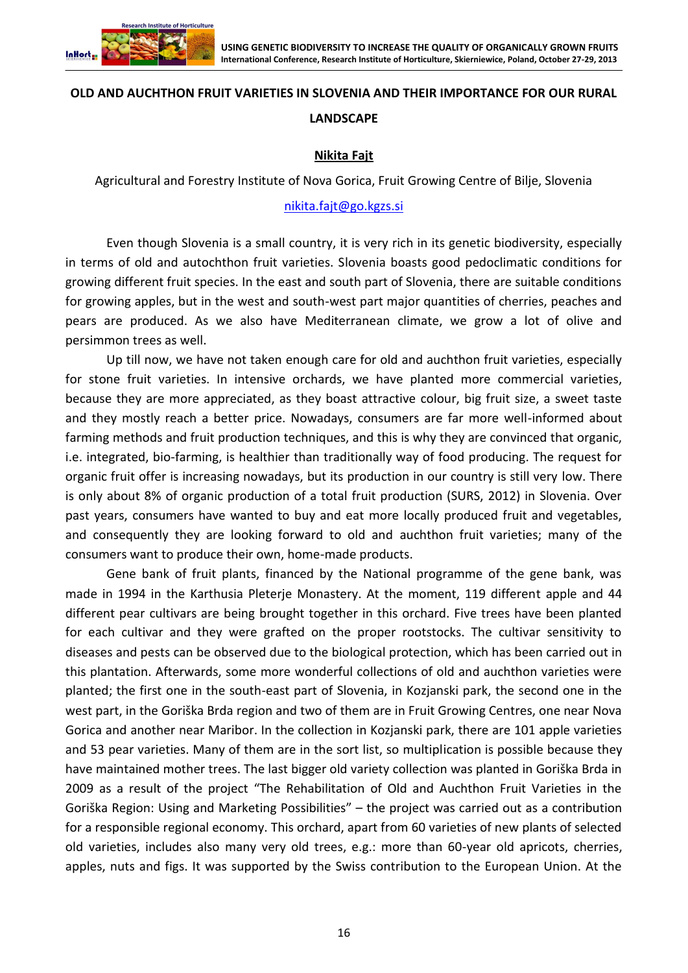

# **OLD AND AUCHTHON FRUIT VARIETIES IN SLOVENIA AND THEIR IMPORTANCE FOR OUR RURAL LANDSCAPE**

# **Nikita Fajt**

Agricultural and Forestry Institute of Nova Gorica, Fruit Growing Centre of Bilje, Slovenia

## [nikita.fajt@go.kgzs.si](file:///C:/Users/Witek/AppData/Roaming/Microsoft/Word/nikita.fajt@go.kgzs.si)

Even though Slovenia is a small country, it is very rich in its genetic biodiversity, especially in terms of old and autochthon fruit varieties. Slovenia boasts good pedoclimatic conditions for growing different fruit species. In the east and south part of Slovenia, there are suitable conditions for growing apples, but in the west and south-west part major quantities of cherries, peaches and pears are produced. As we also have Mediterranean climate, we grow a lot of olive and persimmon trees as well.

Up till now, we have not taken enough care for old and auchthon fruit varieties, especially for stone fruit varieties. In intensive orchards, we have planted more commercial varieties, because they are more appreciated, as they boast attractive colour, big fruit size, a sweet taste and they mostly reach a better price. Nowadays, consumers are far more well-informed about farming methods and fruit production techniques, and this is why they are convinced that organic, i.e. integrated, bio-farming, is healthier than traditionally way of food producing. The request for organic fruit offer is increasing nowadays, but its production in our country is still very low. There is only about 8% of organic production of a total fruit production (SURS, 2012) in Slovenia. Over past years, consumers have wanted to buy and eat more locally produced fruit and vegetables, and consequently they are looking forward to old and auchthon fruit varieties; many of the consumers want to produce their own, home-made products.

Gene bank of fruit plants, financed by the National programme of the gene bank, was made in 1994 in the Karthusia Pleterje Monastery. At the moment, 119 different apple and 44 different pear cultivars are being brought together in this orchard. Five trees have been planted for each cultivar and they were grafted on the proper rootstocks. The cultivar sensitivity to diseases and pests can be observed due to the biological protection, which has been carried out in this plantation. Afterwards, some more wonderful collections of old and auchthon varieties were planted; the first one in the south-east part of Slovenia, in Kozjanski park, the second one in the west part, in the Goriška Brda region and two of them are in Fruit Growing Centres, one near Nova Gorica and another near Maribor. In the collection in Kozjanski park, there are 101 apple varieties and 53 pear varieties. Many of them are in the sort list, so multiplication is possible because they have maintained mother trees. The last bigger old variety collection was planted in Goriška Brda in 2009 as a result of the project "The Rehabilitation of Old and Auchthon Fruit Varieties in the Goriška Region: Using and Marketing Possibilities" – the project was carried out as a contribution for a responsible regional economy. This orchard, apart from 60 varieties of new plants of selected old varieties, includes also many very old trees, e.g.: more than 60-year old apricots, cherries, apples, nuts and figs. It was supported by the Swiss contribution to the European Union. At the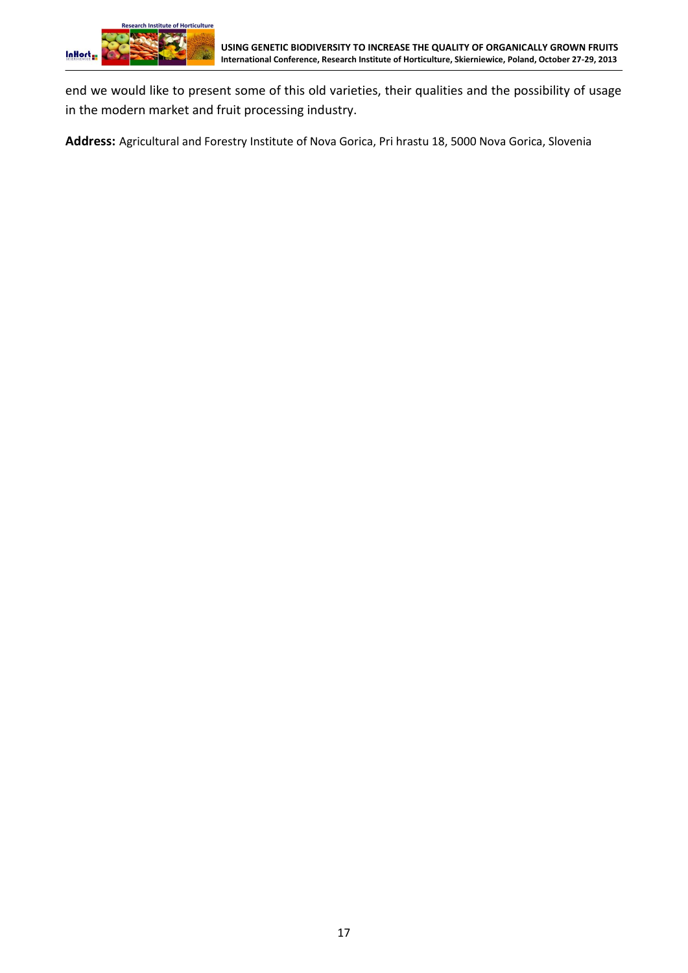

end we would like to present some of this old varieties, their qualities and the possibility of usage in the modern market and fruit processing industry.

**Address:** Agricultural and Forestry Institute of Nova Gorica, Pri hrastu 18, 5000 Nova Gorica, Slovenia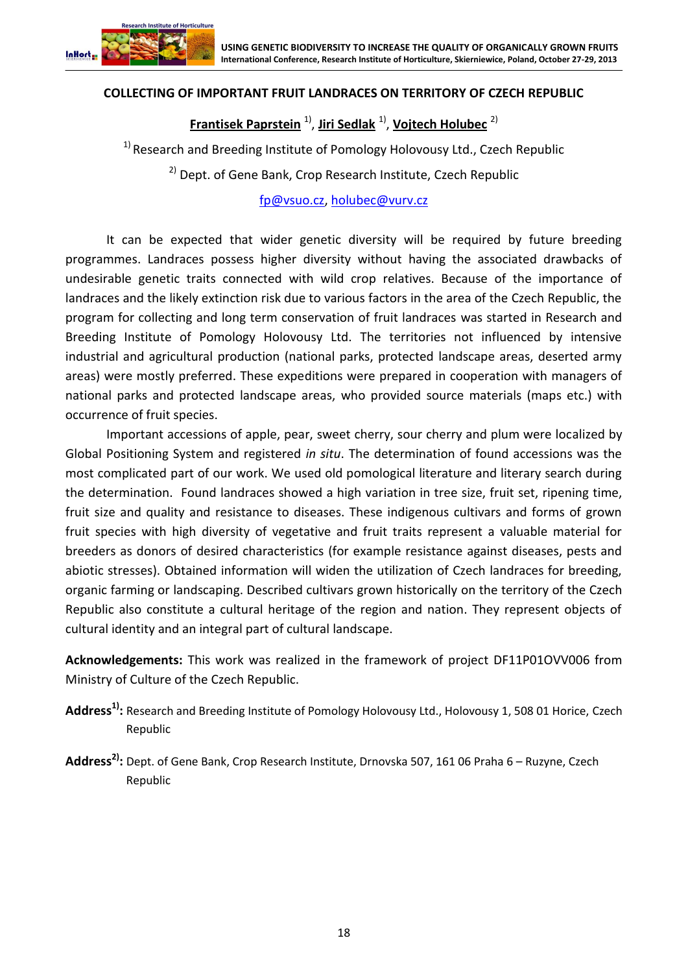

# **COLLECTING OF IMPORTANT FRUIT LANDRACES ON TERRITORY OF CZECH REPUBLIC**

**Frantisek Paprstein** 1) , **Jiri Sedlak** 1) , **Vojtech Holubec** 2)

<sup>1)</sup> Research and Breeding Institute of Pomology Holovousy Ltd., Czech Republic

<sup>2)</sup> Dept. of Gene Bank, Crop Research Institute, Czech Republic

[fp@vsuo.cz,](file:///C:/Users/Witek/AppData/Roaming/Microsoft/Word/fp@vsuo.cz) [holubec@vurv.cz](file:///C:/Users/Witek/AppData/Roaming/Microsoft/Word/holubec@vurv.cz)

It can be expected that wider genetic diversity will be required by future breeding programmes. Landraces possess higher diversity without having the associated drawbacks of undesirable genetic traits connected with wild crop relatives. Because of the importance of landraces and the likely extinction risk due to various factors in the area of the Czech Republic, the program for collecting and long term conservation of fruit landraces was started in Research and Breeding Institute of Pomology Holovousy Ltd. The territories not influenced by intensive industrial and agricultural production (national parks, protected landscape areas, deserted army areas) were mostly preferred. These expeditions were prepared in cooperation with managers of national parks and protected landscape areas, who provided source materials (maps etc.) with occurrence of fruit species.

Important accessions of apple, pear, sweet cherry, sour cherry and plum were localized by Global Positioning System and registered *in situ*. The determination of found accessions was the most complicated part of our work. We used old pomological literature and literary search during the determination. Found landraces showed a high variation in tree size, fruit set, ripening time, fruit size and quality and resistance to diseases. These indigenous cultivars and forms of grown fruit species with high diversity of vegetative and fruit traits represent a valuable material for breeders as donors of desired characteristics (for example resistance against diseases, pests and abiotic stresses). Obtained information will widen the utilization of Czech landraces for breeding, organic farming or landscaping. Described cultivars grown historically on the territory of the Czech Republic also constitute a cultural heritage of the region and nation. They represent objects of cultural identity and an integral part of cultural landscape.

**Acknowledgements:** This work was realized in the framework of project DF11P01OVV006 from Ministry of Culture of the Czech Republic.

- **Address1):** Research and Breeding Institute of Pomology Holovousy Ltd., Holovousy 1, 508 01 Horice, Czech Republic
- **Address2):** Dept. of Gene Bank, Crop Research Institute, Drnovska 507, 161 06 Praha 6 Ruzyne, Czech Republic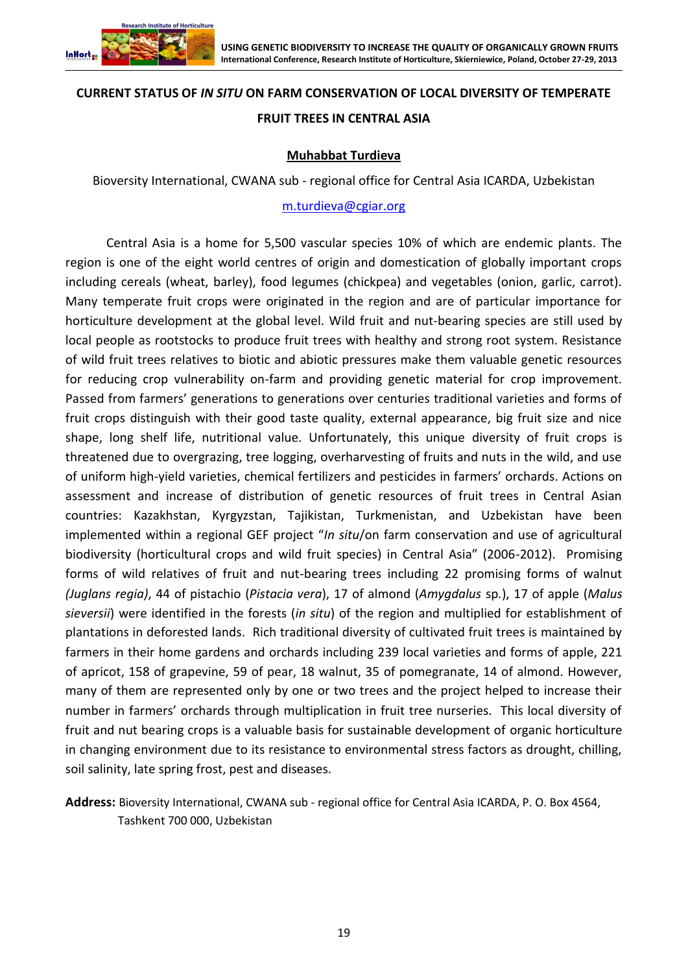

#### **CURRENT STATUS OF** *IN SITU* **ON FARM CONSERVATION OF LOCAL DIVERSITY OF TEMPERATE**

### **FRUIT TREES IN CENTRAL ASIA**

#### **Muhabbat Turdieva**

Bioversity International, CWANA sub - regional office for Central Asia ICARDA, Uzbekistan

#### [m.turdieva@cgiar.org](mailto:m.turdieva@cgiar.org)

Central Asia is a home for 5,500 vascular species 10% of which are endemic plants. The region is one of the eight world centres of origin and domestication of globally important crops including cereals (wheat, barley), food legumes (chickpea) and vegetables (onion, garlic, carrot). Many temperate fruit crops were originated in the region and are of particular importance for horticulture development at the global level. Wild fruit and nut-bearing species are still used by local people as rootstocks to produce fruit trees with healthy and strong root system. Resistance of wild fruit trees relatives to biotic and abiotic pressures make them valuable genetic resources for reducing crop vulnerability on-farm and providing genetic material for crop improvement. Passed from farmers' generations to generations over centuries traditional varieties and forms of fruit crops distinguish with their good taste quality, external appearance, big fruit size and nice shape, long shelf life, nutritional value. Unfortunately, this unique diversity of fruit crops is threatened due to overgrazing, tree logging, overharvesting of fruits and nuts in the wild, and use of uniform high-yield varieties, chemical fertilizers and pesticides in farmers' orchards. Actions on assessment and increase of distribution of genetic resources of fruit trees in Central Asian countries: Kazakhstan, Kyrgyzstan, Tajikistan, Turkmenistan, and Uzbekistan have been implemented within a regional GEF project "*In situ*/on farm conservation and use of agricultural biodiversity (horticultural crops and wild fruit species) in Central Asia" (2006-2012). Promising forms of wild relatives of fruit and nut-bearing trees including 22 promising forms of walnut *(Juglans regia)*, 44 of pistachio (*Pistacia vera*), 17 of almond (*Amygdalus* sp*.*), 17 of apple (*Malus sieversii*) were identified in the forests (*in situ*) of the region and multiplied for establishment of plantations in deforested lands. Rich traditional diversity of cultivated fruit trees is maintained by farmers in their home gardens and orchards including 239 local varieties and forms of apple, 221 of apricot, 158 of grapevine, 59 of pear, 18 walnut, 35 of pomegranate, 14 of almond. However, many of them are represented only by one or two trees and the project helped to increase their number in farmers' orchards through multiplication in fruit tree nurseries. This local diversity of fruit and nut bearing crops is a valuable basis for sustainable development of organic horticulture in changing environment due to its resistance to environmental stress factors as drought, chilling, soil salinity, late spring frost, pest and diseases.

**Address:** Bioversity International, CWANA sub - regional office for Central Asia ICARDA, P. O. Box 4564, Tashkent 700 000, Uzbekistan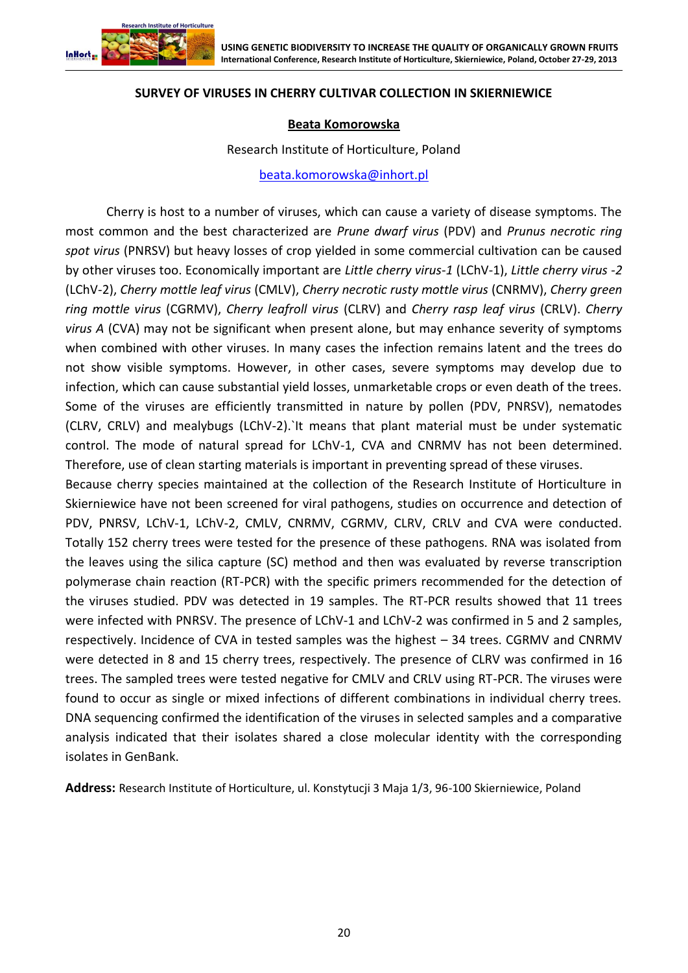

#### **SURVEY OF VIRUSES IN CHERRY CULTIVAR COLLECTION IN SKIERNIEWICE**

#### **Beata Komorowska**

Research Institute of Horticulture, Poland

[beata.komorowska@inhort.pl](file:///C:/Users/Witek/AppData/Roaming/Microsoft/Word/beata.komorowska@inhort.pl)

Cherry is host to a number of viruses, which can cause a variety of disease symptoms. The most common and the best characterized are *Prune dwarf virus* (PDV) and *Prunus necrotic ring spot virus* (PNRSV) but heavy losses of crop yielded in some commercial cultivation can be caused by other viruses too. Economically important are *Little cherry virus-1* (LChV-1), *Little cherry virus -2* (LChV-2), *Cherry mottle leaf virus* (CMLV), *Cherry necrotic rusty mottle virus* (CNRMV), *Cherry green ring mottle virus* (CGRMV), *Cherry leafroll virus* (CLRV) and *Cherry rasp leaf virus* (CRLV). *Cherry virus A* (CVA) may not be significant when present alone, but may enhance severity of symptoms when combined with other viruses. In many cases the infection remains latent and the trees do not show visible symptoms. However, in other cases, severe symptoms may develop due to infection, which can cause substantial yield losses, unmarketable crops or even death of the trees. Some of the viruses are efficiently transmitted in nature by pollen (PDV, PNRSV), nematodes (CLRV, CRLV) and mealybugs (LChV-2).`It means that plant material must be under systematic control. The mode of natural spread for LChV-1, CVA and CNRMV has not been determined. Therefore, use of clean starting materials is important in preventing spread of these viruses.

Because cherry species maintained at the collection of the Research Institute of Horticulture in Skierniewice have not been screened for viral pathogens, studies on occurrence and detection of PDV, PNRSV, LChV-1, LChV-2, CMLV, CNRMV, CGRMV, CLRV, CRLV and CVA were conducted. Totally 152 cherry trees were tested for the presence of these pathogens. RNA was isolated from the leaves using the silica capture (SC) method and then was evaluated by reverse transcription polymerase chain reaction (RT-PCR) with the specific primers recommended for the detection of the viruses studied. PDV was detected in 19 samples. The RT-PCR results showed that 11 trees were infected with PNRSV. The presence of LChV-1 and LChV-2 was confirmed in 5 and 2 samples, respectively. Incidence of CVA in tested samples was the highest – 34 trees. CGRMV and CNRMV were detected in 8 and 15 cherry trees, respectively. The presence of CLRV was confirmed in 16 trees. The sampled trees were tested negative for CMLV and CRLV using RT-PCR. The viruses were found to occur as single or mixed infections of different combinations in individual cherry trees. DNA sequencing confirmed the identification of the viruses in selected samples and a comparative analysis indicated that their isolates shared a close molecular identity with the corresponding isolates in GenBank.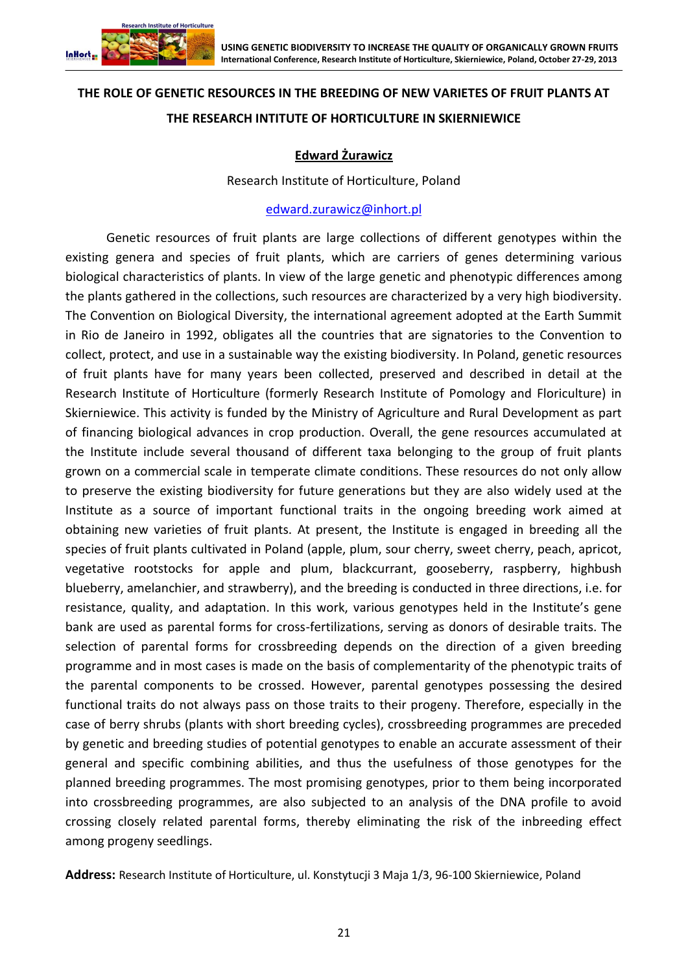

# **THE ROLE OF GENETIC RESOURCES IN THE BREEDING OF NEW VARIETES OF FRUIT PLANTS AT THE RESEARCH INTITUTE OF HORTICULTURE IN SKIERNIEWICE**

# **Edward Żurawicz**

Research Institute of Horticulture, Poland

#### [edward.zurawicz@inhort.pl](mailto:edward.zurawicz@inhort.pl)

Genetic resources of fruit plants are large collections of different genotypes within the existing genera and species of fruit plants, which are carriers of genes determining various biological characteristics of plants. In view of the large genetic and phenotypic differences among the plants gathered in the collections, such resources are characterized by a very high biodiversity. The Convention on Biological Diversity, the international agreement adopted at the Earth Summit in Rio de Janeiro in 1992, obligates all the countries that are signatories to the Convention to collect, protect, and use in a sustainable way the existing biodiversity. In Poland, genetic resources of fruit plants have for many years been collected, preserved and described in detail at the Research Institute of Horticulture (formerly Research Institute of Pomology and Floriculture) in Skierniewice. This activity is funded by the Ministry of Agriculture and Rural Development as part of financing biological advances in crop production. Overall, the gene resources accumulated at the Institute include several thousand of different taxa belonging to the group of fruit plants grown on a commercial scale in temperate climate conditions. These resources do not only allow to preserve the existing biodiversity for future generations but they are also widely used at the Institute as a source of important functional traits in the ongoing breeding work aimed at obtaining new varieties of fruit plants. At present, the Institute is engaged in breeding all the species of fruit plants cultivated in Poland (apple, plum, sour cherry, sweet cherry, peach, apricot, vegetative rootstocks for apple and plum, blackcurrant, gooseberry, raspberry, highbush blueberry, amelanchier, and strawberry), and the breeding is conducted in three directions, i.e. for resistance, quality, and adaptation. In this work, various genotypes held in the Institute's gene bank are used as parental forms for cross-fertilizations, serving as donors of desirable traits. The selection of parental forms for crossbreeding depends on the direction of a given breeding programme and in most cases is made on the basis of complementarity of the phenotypic traits of the parental components to be crossed. However, parental genotypes possessing the desired functional traits do not always pass on those traits to their progeny. Therefore, especially in the case of berry shrubs (plants with short breeding cycles), crossbreeding programmes are preceded by genetic and breeding studies of potential genotypes to enable an accurate assessment of their general and specific combining abilities, and thus the usefulness of those genotypes for the planned breeding programmes. The most promising genotypes, prior to them being incorporated into crossbreeding programmes, are also subjected to an analysis of the DNA profile to avoid crossing closely related parental forms, thereby eliminating the risk of the inbreeding effect among progeny seedlings.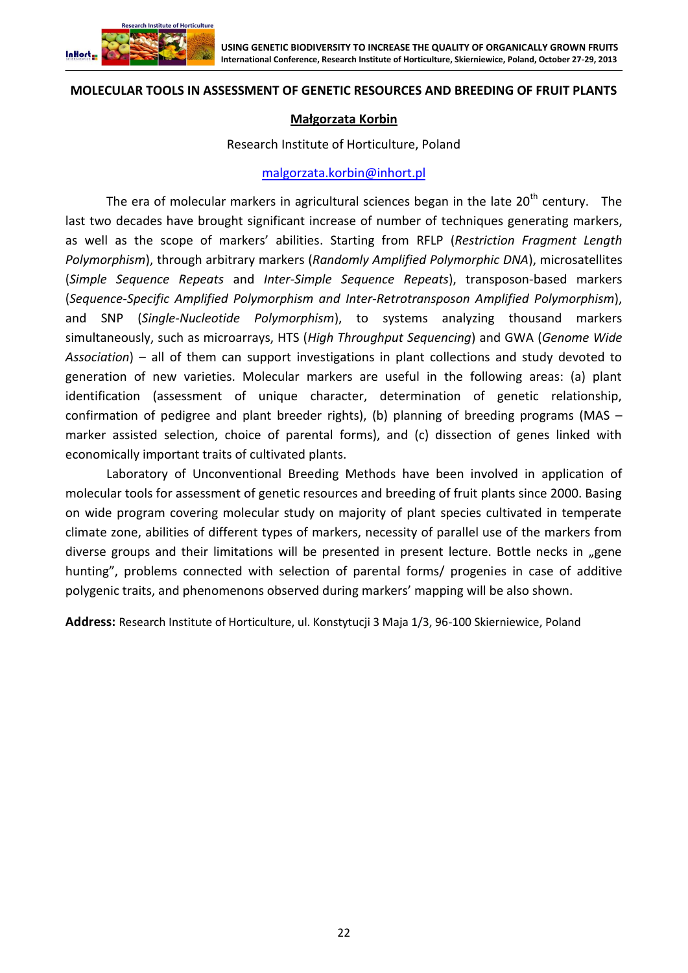

#### **MOLECULAR TOOLS IN ASSESSMENT OF GENETIC RESOURCES AND BREEDING OF FRUIT PLANTS**

#### **Małgorzata Korbin**

#### Research Institute of Horticulture, Poland

#### [malgorzata.korbin@inhort.pl](mailto:malgorzata.korbin@inhort.pl)

The era of molecular markers in agricultural sciences began in the late  $20<sup>th</sup>$  century. The last two decades have brought significant increase of number of techniques generating markers, as well as the scope of markers' abilities. Starting from RFLP (*Restriction Fragment Length Polymorphism*), through arbitrary markers (*Randomly Amplified Polymorphic DNA*), microsatellites (*Simple Sequence Repeats* and *Inter-Simple Sequence Repeats*), transposon-based markers (*Sequence-Specific Amplified Polymorphism and Inter-Retrotransposon Amplified Polymorphism*), and SNP (*Single-Nucleotide Polymorphism*), to systems analyzing thousand markers simultaneously, such as microarrays, HTS (*High Throughput Sequencing*) and GWA (*Genome Wide Association*) – all of them can support investigations in plant collections and study devoted to generation of new varieties. Molecular markers are useful in the following areas: (a) plant identification (assessment of unique character, determination of genetic relationship, confirmation of pedigree and plant breeder rights), (b) planning of breeding programs (MAS – marker assisted selection, choice of parental forms), and (c) dissection of genes linked with economically important traits of cultivated plants.

Laboratory of Unconventional Breeding Methods have been involved in application of molecular tools for assessment of genetic resources and breeding of fruit plants since 2000. Basing on wide program covering molecular study on majority of plant species cultivated in temperate climate zone, abilities of different types of markers, necessity of parallel use of the markers from diverse groups and their limitations will be presented in present lecture. Bottle necks in "gene hunting", problems connected with selection of parental forms/ progenies in case of additive polygenic traits, and phenomenons observed during markers' mapping will be also shown.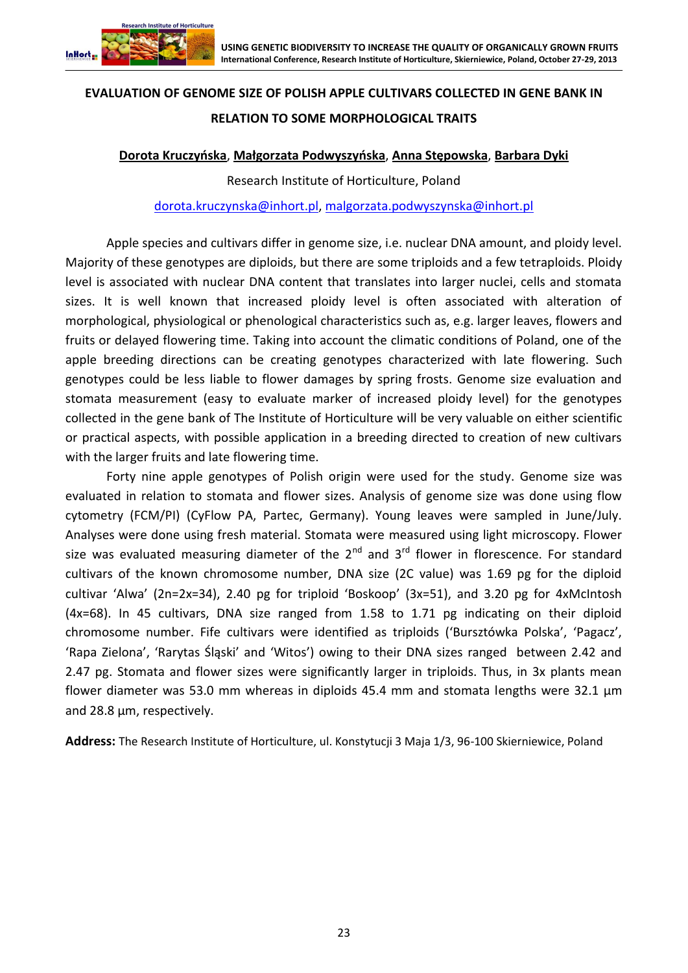

# **EVALUATION OF GENOME SIZE OF POLISH APPLE CULTIVARS COLLECTED IN GENE BANK IN RELATION TO SOME MORPHOLOGICAL TRAITS**

# **Dorota Kruczyńska**, **Małgorzata Podwyszyńska**, **Anna Stępowska**, **Barbara Dyki**

Research Institute of Horticulture, Poland [dorota.kruczynska@inhort.pl,](mailto:dorota.kruczynska@inhort.pl) [malgorzata.podwyszynska@inhort.pl](mailto:malgorzata.podwyszynska@inhort.pl)

Apple species and cultivars differ in genome size, i.e. nuclear DNA amount, and ploidy level. Majority of these genotypes are diploids, but there are some triploids and a few tetraploids. Ploidy level is associated with nuclear DNA content that translates into larger nuclei, cells and stomata sizes. It is well known that increased ploidy level is often associated with alteration of morphological, physiological or phenological characteristics such as, e.g. larger leaves, flowers and fruits or delayed flowering time. Taking into account the climatic conditions of Poland, one of the apple breeding directions can be creating genotypes characterized with late flowering. Such genotypes could be less liable to flower damages by spring frosts. Genome size evaluation and stomata measurement (easy to evaluate marker of increased ploidy level) for the genotypes collected in the gene bank of The Institute of Horticulture will be very valuable on either scientific or practical aspects, with possible application in a breeding directed to creation of new cultivars with the larger fruits and late flowering time.

Forty nine apple genotypes of Polish origin were used for the study. Genome size was evaluated in relation to stomata and flower sizes. Analysis of genome size was done using flow cytometry (FCM/PI) (CyFlow PA, Partec, Germany). Young leaves were sampled in June/July. Analyses were done using fresh material. Stomata were measured using light microscopy. Flower size was evaluated measuring diameter of the  $2^{nd}$  and  $3^{rd}$  flower in florescence. For standard cultivars of the known chromosome number, DNA size (2C value) was 1.69 pg for the diploid cultivar 'Alwa' (2n=2x=34), 2.40 pg for triploid 'Boskoop' (3x=51), and 3.20 pg for 4xMcIntosh (4x=68). In 45 cultivars, DNA size ranged from 1.58 to 1.71 pg indicating on their diploid chromosome number. Fife cultivars were identified as triploids ('Bursztówka Polska', 'Pagacz', 'Rapa Zielona', 'Rarytas Śląski' and 'Witos') owing to their DNA sizes ranged between 2.42 and 2.47 pg. Stomata and flower sizes were significantly larger in triploids. Thus, in 3x plants mean flower diameter was 53.0 mm whereas in diploids 45.4 mm and stomata lengths were 32.1 μm and 28.8 μm, respectively.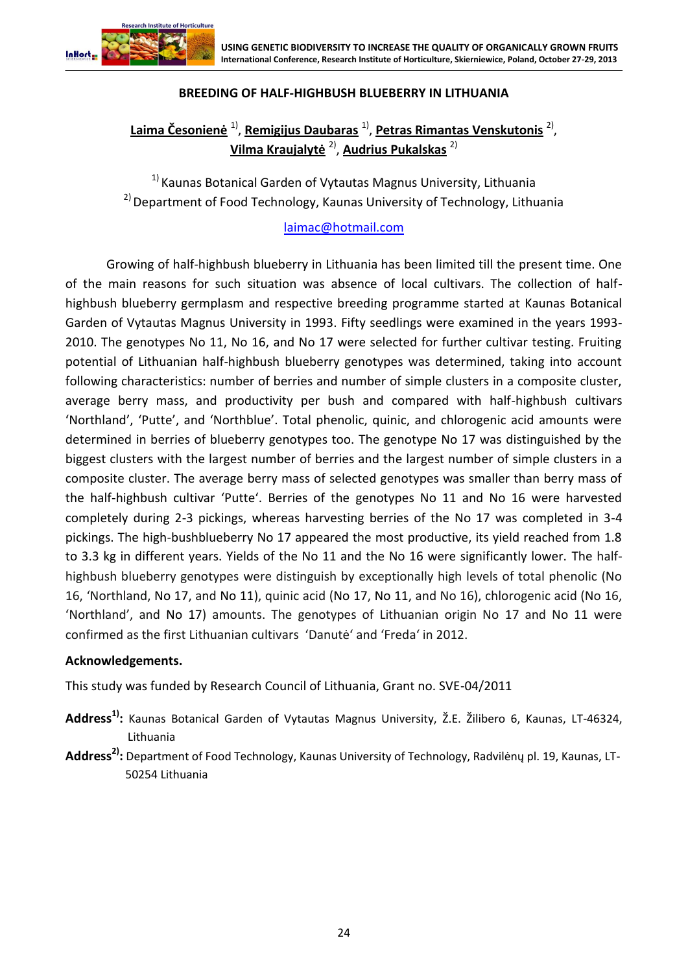

# **BREEDING OF HALF-HIGHBUSH BLUEBERRY IN LITHUANIA**

# **Laima Česonienė** 1) , **Remigijus Daubaras** 1) , **Petras Rimantas Venskutonis** 2) , **Vilma Kraujalytė** 2) , **Audrius Pukalskas** 2)

 $1)$  Kaunas Botanical Garden of Vytautas Magnus University, Lithuania <sup>2)</sup> Department of Food Technology, Kaunas University of Technology, Lithuania

# [laimac@hotmail.com](mailto:laimac@hotmail.com)

Growing of half-highbush blueberry in Lithuania has been limited till the present time. One of the main reasons for such situation was absence of local cultivars. The collection of halfhighbush blueberry germplasm and respective breeding programme started at Kaunas Botanical Garden of Vytautas Magnus University in 1993. Fifty seedlings were examined in the years 1993- 2010. The genotypes No 11, No 16, and No 17 were selected for further cultivar testing. Fruiting potential of Lithuanian half-highbush blueberry genotypes was determined, taking into account following characteristics: number of berries and number of simple clusters in a composite cluster, average berry mass, and productivity per bush and compared with half-highbush cultivars 'Northland', 'Putte', and 'Northblue'. Total phenolic, quinic, and chlorogenic acid amounts were determined in berries of blueberry genotypes too. The genotype No 17 was distinguished by the biggest clusters with the largest number of berries and the largest number of simple clusters in a composite cluster. The average berry mass of selected genotypes was smaller than berry mass of the half-highbush cultivar 'Putte'. Berries of the genotypes No 11 and No 16 were harvested completely during 2-3 pickings, whereas harvesting berries of the No 17 was completed in 3-4 pickings. The high-bushblueberry No 17 appeared the most productive, its yield reached from 1.8 to 3.3 kg in different years. Yields of the No 11 and the No 16 were significantly lower. The halfhighbush blueberry genotypes were distinguish by exceptionally high levels of total phenolic (No 16, 'Northland, No 17, and No 11), quinic acid (No 17, No 11, and No 16), chlorogenic acid (No 16, 'Northland', and No 17) amounts. The genotypes of Lithuanian origin No 17 and No 11 were confirmed as the first Lithuanian cultivars 'Danutė' and 'Freda' in 2012.

## **Acknowledgements.**

This study was funded by Research Council of Lithuania, Grant no. SVE-04/2011

- **Address1):** Kaunas Botanical Garden of Vytautas Magnus University, Ž.E. Žilibero 6, Kaunas, LT-46324, Lithuania
- **Address2):** Department of Food Technology, Kaunas University of Technology, Radvilėnų pl. 19, Kaunas, LT-50254 Lithuania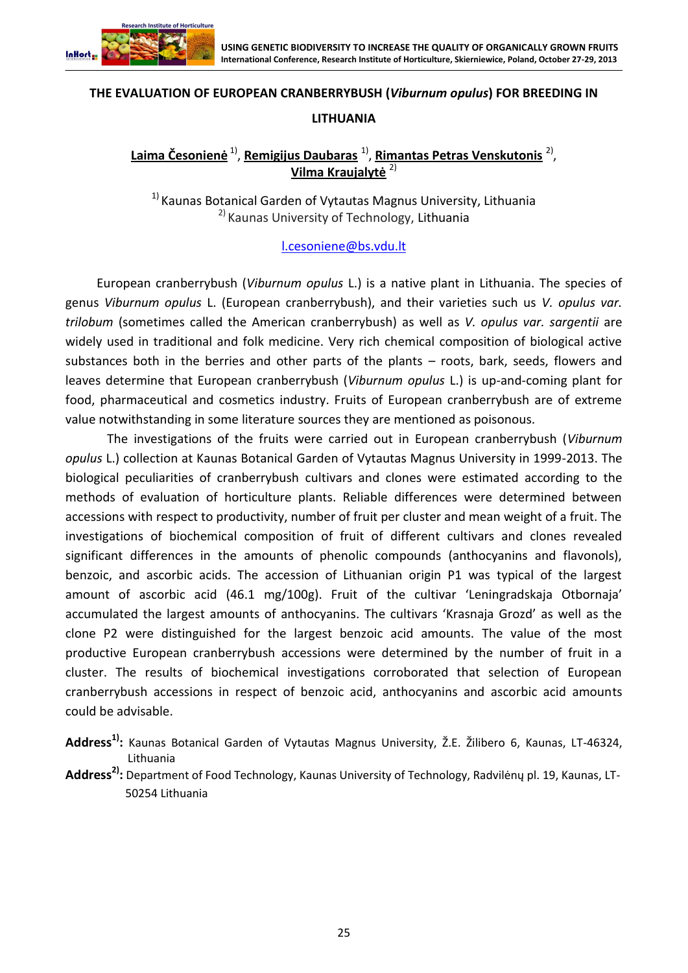

# **THE EVALUATION OF EUROPEAN CRANBERRYBUSH (***Viburnum opulus***) FOR BREEDING IN**

# **LITHUANIA**

**Laima Česonienė** 1) , **Remigijus Daubaras** 1) , **Rimantas Petras Venskutonis** 2) , **Vilma Kraujalytė** 2)

 $1)$  Kaunas Botanical Garden of Vytautas Magnus University, Lithuania 2) Kaunas University of Technology, Lithuania

# [l.cesoniene@bs.vdu.lt](mailto:l.cesoniene@bs.vdu.lt)

European cranberrybush (*Viburnum opulus* L.) is a native plant in Lithuania. The species of genus *Viburnum opulus* L. (European cranberrybush), and their varieties such us *V. opulus var. trilobum* (sometimes called the American cranberrybush) as well as *V. opulus var. sargentii* are widely used in traditional and folk medicine. Very rich chemical composition of biological active substances both in the berries and other parts of the plants – roots, bark, seeds, flowers and leaves determine that European cranberrybush (*Viburnum opulus* L.) is up-and-coming plant for food, pharmaceutical and cosmetics industry. Fruits of European cranberrybush are of extreme value notwithstanding in some literature sources they are mentioned as poisonous.

The investigations of the fruits were carried out in European cranberrybush (*Viburnum opulus* L.) collection at Kaunas Botanical Garden of Vytautas Magnus University in 1999-2013. The biological peculiarities of cranberrybush cultivars and clones were estimated according to the methods of evaluation of horticulture plants. Reliable differences were determined between accessions with respect to productivity, number of fruit per cluster and mean weight of a fruit. The investigations of biochemical composition of fruit of different cultivars and clones revealed significant differences in the amounts of phenolic compounds (anthocyanins and flavonols), benzoic, and ascorbic acids. The accession of Lithuanian origin P1 was typical of the largest amount of ascorbic acid (46.1 mg/100g). Fruit of the cultivar 'Leningradskaja Otbornaja' accumulated the largest amounts of anthocyanins. The cultivars 'Krasnaja Grozd' as well as the clone P2 were distinguished for the largest benzoic acid amounts. The value of the most productive European cranberrybush accessions were determined by the number of fruit in a cluster. The results of biochemical investigations corroborated that selection of European cranberrybush accessions in respect of benzoic acid, anthocyanins and ascorbic acid amounts could be advisable.

- **Address1):** Kaunas Botanical Garden of Vytautas Magnus University, Ž.E. Žilibero 6, Kaunas, LT-46324, Lithuania
- **Address2):** Department of Food Technology, Kaunas University of Technology, Radvilėnų pl. 19, Kaunas, LT-50254 Lithuania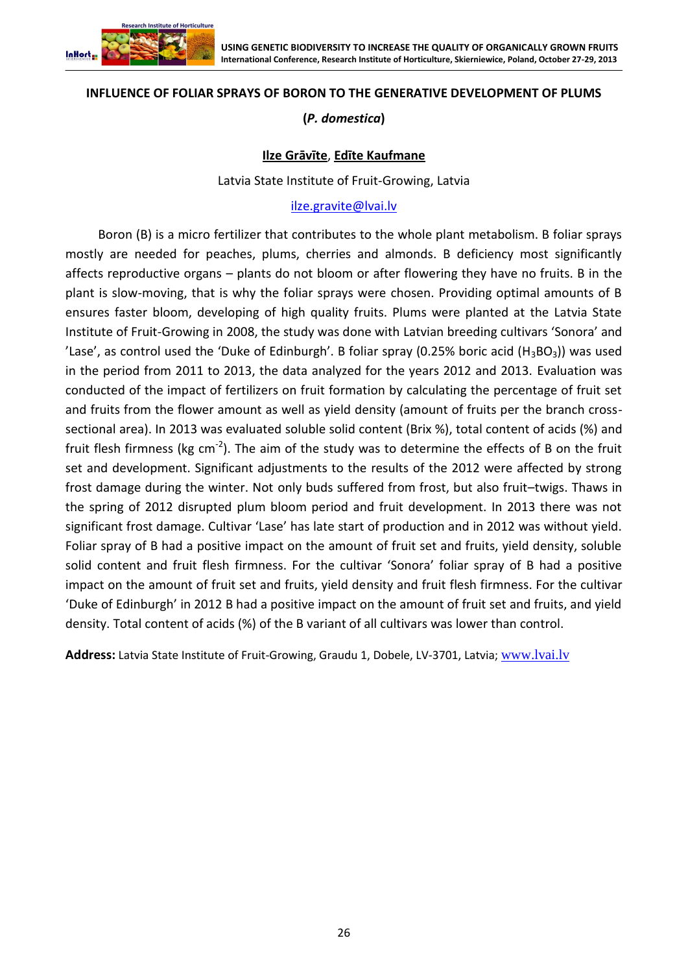

## **INFLUENCE OF FOLIAR SPRAYS OF BORON TO THE GENERATIVE DEVELOPMENT OF PLUMS**

# **(***P. domestica***)**

## **Ilze Grāvīte**, **Edīte Kaufmane**

Latvia State Institute of Fruit-Growing, Latvia

#### [ilze.gravite@lvai.lv](mailto:ilze.gravite@lvai.lv)

Boron (B) is a micro fertilizer that contributes to the whole plant metabolism. B foliar sprays mostly are needed for peaches, plums, cherries and almonds. B deficiency most significantly affects reproductive organs – plants do not bloom or after flowering they have no fruits. B in the plant is slow-moving, that is why the foliar sprays were chosen. Providing optimal amounts of B ensures faster bloom, developing of high quality fruits. Plums were planted at the Latvia State Institute of Fruit-Growing in 2008, the study was done with Latvian breeding cultivars 'Sonora' and 'Lase', as control used the 'Duke of Edinburgh'. B foliar spray (0.25% boric acid  $(H_3BO_3)$ ) was used in the period from 2011 to 2013, the data analyzed for the years 2012 and 2013. Evaluation was conducted of the impact of fertilizers on fruit formation by calculating the percentage of fruit set and fruits from the flower amount as well as yield density (amount of fruits per the branch crosssectional area). In 2013 was evaluated soluble solid content (Brix %), total content of acids (%) and fruit flesh firmness (kg cm<sup>-2</sup>). The aim of the study was to determine the effects of B on the fruit set and development. Significant adjustments to the results of the 2012 were affected by strong frost damage during the winter. Not only buds suffered from frost, but also fruit–twigs. Thaws in the spring of 2012 disrupted plum bloom period and fruit development. In 2013 there was not significant frost damage. Cultivar 'Lase' has late start of production and in 2012 was without yield. Foliar spray of B had a positive impact on the amount of fruit set and fruits, yield density, soluble solid content and fruit flesh firmness. For the cultivar 'Sonora' foliar spray of B had a positive impact on the amount of fruit set and fruits, yield density and fruit flesh firmness. For the cultivar 'Duke of Edinburgh' in 2012 B had a positive impact on the amount of fruit set and fruits, and yield density. Total content of acids (%) of the B variant of all cultivars was lower than control.

**Address:** Latvia State Institute of Fruit-Growing, Graudu 1, Dobele, LV-3701, Latvia; [www.lvai.lv](http://www.lvai.lv/)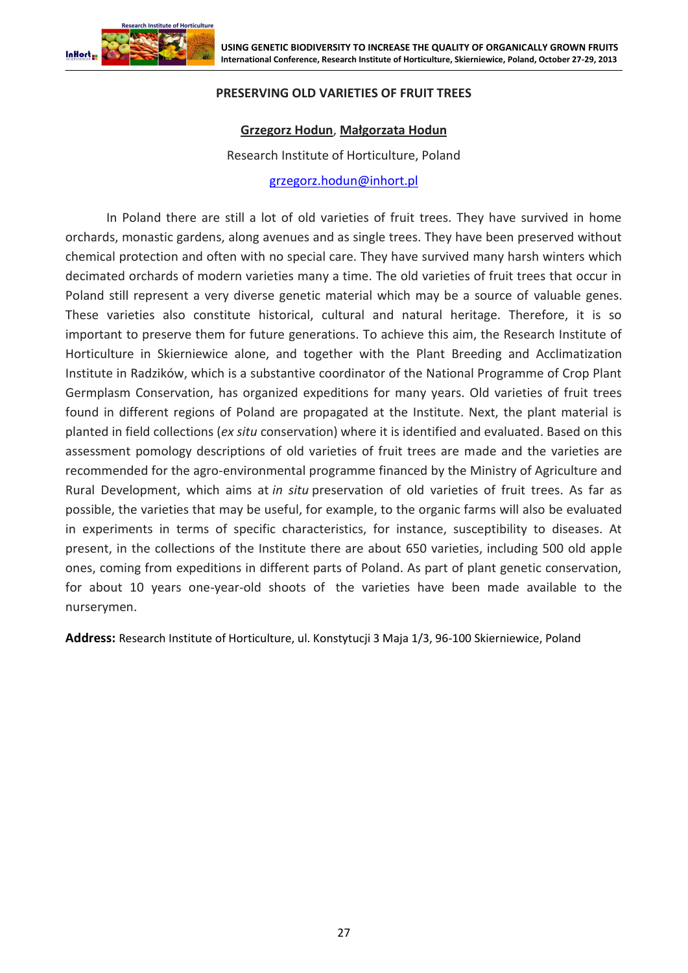

## **PRESERVING OLD VARIETIES OF FRUIT TREES**

## **Grzegorz Hodun**, **Małgorzata Hodun**

Research Institute of Horticulture, Poland

[grzegorz.hodun@inhort.pl](mailto:grzegorz.hodun@inhort.pl)

In Poland there are still a lot of old varieties of fruit trees. They have survived in home orchards, monastic gardens, along avenues and as single trees. They have been preserved without chemical protection and often with no special care. They have survived many harsh winters which decimated orchards of modern varieties many a time. The old varieties of fruit trees that occur in Poland still represent a very diverse genetic material which may be a source of valuable genes. These varieties also constitute historical, cultural and natural heritage. Therefore, it is so important to preserve them for future generations. To achieve this aim, the Research Institute of Horticulture in Skierniewice alone, and together with the Plant Breeding and Acclimatization Institute in Radzików, which is a substantive coordinator of the National Programme of Crop Plant Germplasm Conservation, has organized expeditions for many years. Old varieties of fruit trees found in different regions of Poland are propagated at the Institute. Next, the plant material is planted in field collections (*ex situ* conservation) where it is identified and evaluated. Based on this assessment pomology descriptions of old varieties of fruit trees are made and the varieties are recommended for the agro-environmental programme financed by the Ministry of Agriculture and Rural Development, which aims at *in situ* preservation of old varieties of fruit trees. As far as possible, the varieties that may be useful, for example, to the organic farms will also be evaluated in experiments in terms of specific characteristics, for instance, susceptibility to diseases. At present, in the collections of the Institute there are about 650 varieties, including 500 old apple ones, coming from expeditions in different parts of Poland. As part of plant genetic conservation, for about 10 years one-year-old shoots of the varieties have been made available to the nurserymen.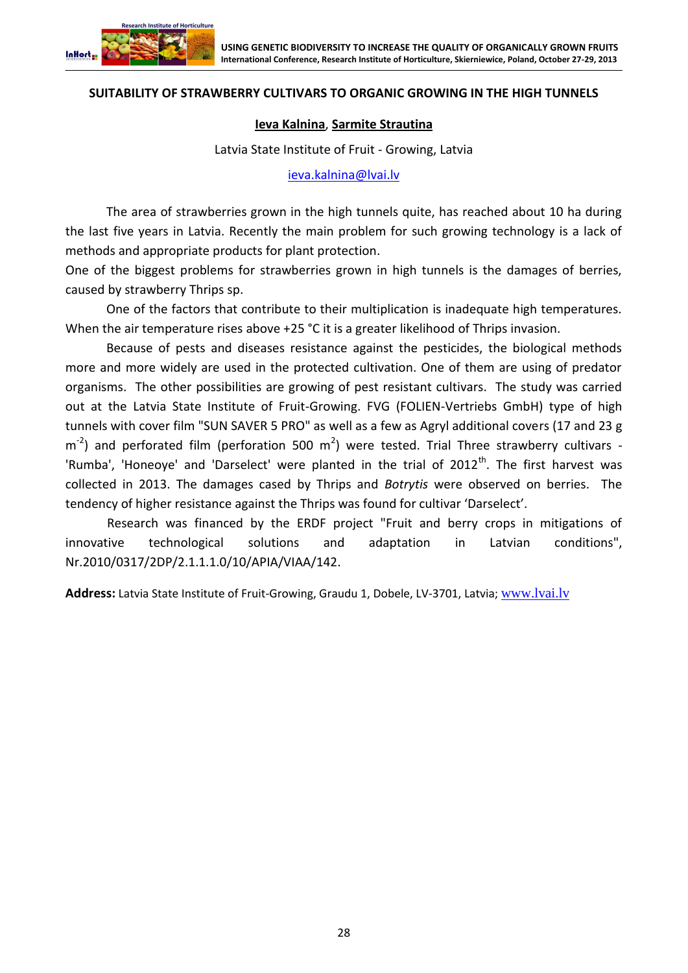

### **SUITABILITY OF STRAWBERRY CULTIVARS TO ORGANIC GROWING IN THE HIGH TUNNELS**

#### **Ieva Kalnina**, **Sarmite Strautina**

Latvia State Institute of Fruit - Growing, Latvia

[ieva.kalnina@lvai.lv](mailto:ieva.kalnina@lvai.lv)

The area of strawberries grown in the high tunnels quite, has reached about 10 ha during the last five years in Latvia. Recently the main problem for such growing technology is a lack of methods and appropriate products for plant protection.

One of the biggest problems for strawberries grown in high tunnels is the damages of berries, caused by strawberry Thrips sp.

One of the factors that contribute to their multiplication is inadequate high temperatures. When the air temperature rises above +25 °C it is a greater likelihood of Thrips invasion.

Because of pests and diseases resistance against the pesticides, the biological methods more and more widely are used in the protected cultivation. One of them are using of predator organisms. The other possibilities are growing of pest resistant cultivars. The study was carried out at the Latvia State Institute of Fruit-Growing. FVG (FOLIEN-Vertriebs GmbH) type of high tunnels with cover film "SUN SAVER 5 PRO" as well as a few as Agryl additional covers (17 and 23 g  $\text{m}^2$ ) and perforated film (perforation 500 m<sup>2</sup>) were tested. Trial Three strawberry cultivars -'Rumba', 'Honeoye' and 'Darselect' were planted in the trial of  $2012<sup>th</sup>$ . The first harvest was collected in 2013. The damages cased by Thrips and *Botrytis* were observed on berries. The tendency of higher resistance against the Thrips was found for cultivar 'Darselect'.

Research was financed by the ERDF project "Fruit and berry crops in mitigations of innovative technological solutions and adaptation in Latvian conditions", Nr.2010/0317/2DP/2.1.1.1.0/10/APIA/VIAA/142.

**Address:** Latvia State Institute of Fruit-Growing, Graudu 1, Dobele, LV-3701, Latvia; [www.lvai.lv](http://www.lvai.lv/)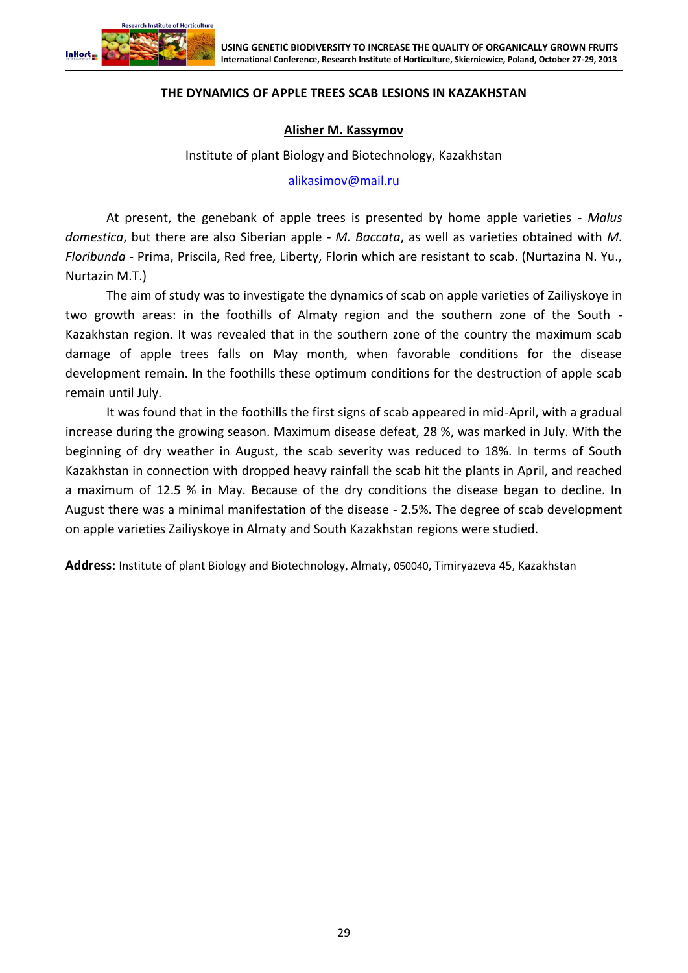

### **THE DYNAMICS OF APPLE TREES SCAB LESIONS IN KAZAKHSTAN**

#### **Alisher M. Kassymov**

Institute of plant Biology and Biotechnology, Kazakhstan

[alikasimov@mail.ru](mailto:alikasimov@mail.ru)

At present, the genebank of apple trees is presented by home apple varieties - *Malus domestica*, but there are also Siberian apple - *M. Baccata*, as well as varieties obtained with *M. Floribunda* - Prima, Priscila, Red free, Liberty, Florin which are resistant to scab. (Nurtazina N. Yu., Nurtazin M.T.)

The aim of study was to investigate the dynamics of scab on apple varieties of Zailiyskoye in two growth areas: in the foothills of Almaty region and the southern zone of the South - Kazakhstan region. It was revealed that in the southern zone of the country the maximum scab damage of apple trees falls on May month, when favorable conditions for the disease development remain. In the foothills these optimum conditions for the destruction of apple scab remain until July.

It was found that in the foothills the first signs of scab appeared in mid-April, with a gradual increase during the growing season. Maximum disease defeat, 28 %, was marked in July. With the beginning of dry weather in August, the scab severity was reduced to 18%. In terms of South Kazakhstan in connection with dropped heavy rainfall the scab hit the plants in April, and reached a maximum of 12.5 % in May. Because of the dry conditions the disease began to decline. In August there was a minimal manifestation of the disease - 2.5%. The degree of scab development on apple varieties Zailiyskoye in Almaty and South Kazakhstan regions were studied.

**Address:** Institute of plant Biology and Biotechnology, Almaty, 050040, Timiryazeva 45, Kazakhstan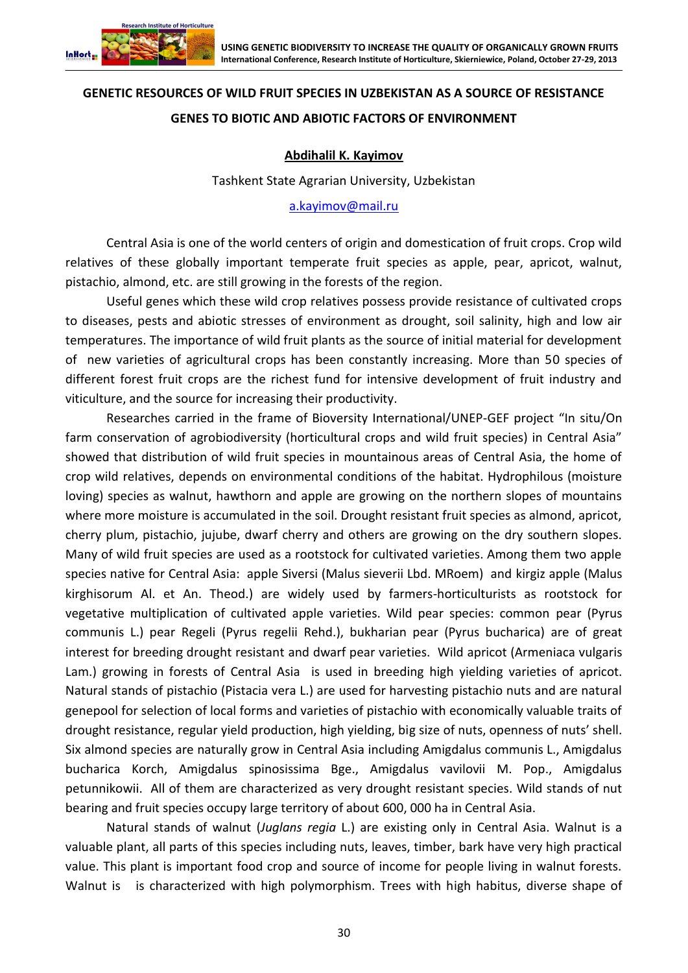

# **GENETIC RESOURCES OF WILD FRUIT SPECIES IN UZBEKISTAN AS A SOURCE OF RESISTANCE GENES TO BIOTIC AND ABIOTIC FACTORS OF ENVIRONMENT**

## **Abdihalil K. Kayimov**

Tashkent State Agrarian University, Uzbekistan

[a.kayimov@mail.ru](mailto:a.kayimov@mail.ru)

Central Asia is one of the world centers of origin and domestication of fruit crops. Crop wild relatives of these globally important temperate fruit species as apple, pear, apricot, walnut, pistachio, almond, etc. are still growing in the forests of the region.

Useful genes which these wild crop relatives possess provide resistance of cultivated crops to diseases, pests and abiotic stresses of environment as drought, soil salinity, high and low air temperatures. The importance of wild fruit plants as the source of initial material for development of new varieties of agricultural crops has been constantly increasing. More than 50 species of different forest fruit crops are the richest fund for intensive development of fruit industry and viticulture, and the source for increasing their productivity.

Researches carried in the frame of Bioversity International/UNEP-GEF project "In situ/On farm conservation of agrobiodiversity (horticultural crops and wild fruit species) in Central Asia" showed that distribution of wild fruit species in mountainous areas of Central Asia, the home of crop wild relatives, depends on environmental conditions of the habitat. Hydrophilous (moisture loving) species as walnut, hawthorn and apple are growing on the northern slopes of mountains where more moisture is accumulated in the soil. Drought resistant fruit species as almond, apricot, cherry plum, pistachio, jujube, dwarf cherry and others are growing on the dry southern slopes. Many of wild fruit species are used as a rootstock for cultivated varieties. Among them two apple species native for Central Asia: apple Siversi (Malus sieverii Lbd. MRoem) and kirgiz apple (Malus kirghisorum Al. et An. Theod.) are widely used by farmers-horticulturists as rootstock for vegetative multiplication of cultivated apple varieties. Wild pear species: common pear (Pyrus communis L.) pear Regeli (Pyrus regelii Rehd.), bukharian pear (Pyrus bucharica) are of great interest for breeding drought resistant and dwarf pear varieties. Wild apricot (Armeniaca vulgaris Lam.) growing in forests of Central Asia is used in breeding high yielding varieties of apricot. Natural stands of pistachio (Pistacia vera L.) are used for harvesting pistachio nuts and are natural genepool for selection of local forms and varieties of pistachio with economically valuable traits of drought resistance, regular yield production, high yielding, big size of nuts, openness of nuts' shell. Six almond species are naturally grow in Central Asia including Amigdalus communis L., Amigdalus bucharica Korch, Amigdalus spinosissima Bge., Amigdalus vavilovii M. Pop., Amigdalus petunnikowii. All of them are characterized as very drought resistant species. Wild stands of nut bearing and fruit species occupy large territory of about 600, 000 ha in Central Asia.

Natural stands of walnut (*Juglans regia* L.) are existing only in Central Asia. Walnut is a valuable plant, all parts of this species including nuts, leaves, timber, bark have very high practical value. This plant is important food crop and source of income for people living in walnut forests. Walnut is is characterized with high polymorphism. Trees with high habitus, diverse shape of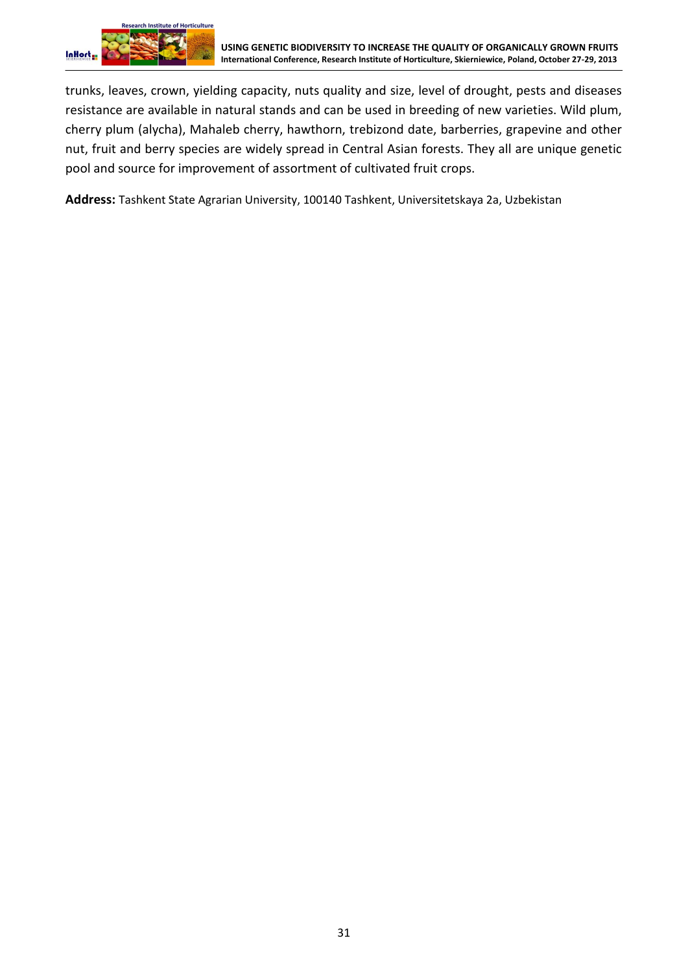

trunks, leaves, crown, yielding capacity, nuts quality and size, level of drought, pests and diseases resistance are available in natural stands and can be used in breeding of new varieties. Wild plum, cherry plum (alycha), Mahaleb cherry, hawthorn, trebizond date, barberries, grapevine and other nut, fruit and berry species are widely spread in Central Asian forests. They all are unique genetic pool and source for improvement of assortment of cultivated fruit crops.

**Address:** Tashkent State Agrarian University, 100140 Tashkent, Universitetskaya 2а, Uzbekistan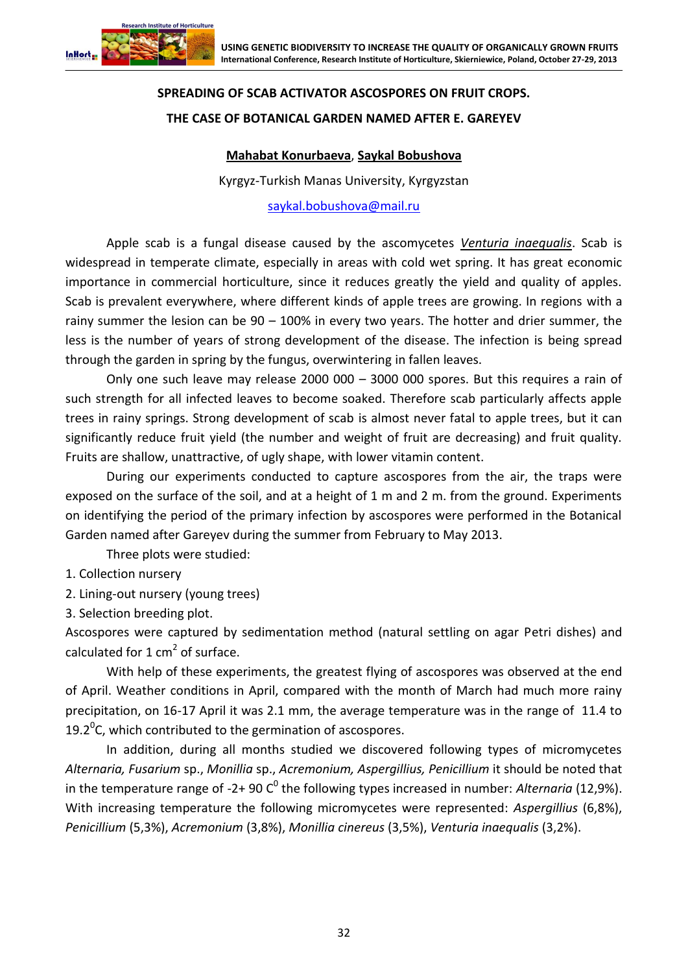

# **SPREADING OF SCAB ACTIVATOR ASCOSPORES ON FRUIT CROPS. THE CASE OF BOTANICAL GARDEN NAMED AFTER E. GAREYEV**

# **Mahabat Konurbaeva**, **Saykal Bobushova**

Kyrgyz-Turkish Manas University, Kyrgyzstan

[saykal.bobushova@mail.ru](file:///C:/Users/Witek/AppData/Roaming/Microsoft/Word/saykal.bobushova@mail.ru)

Apple scab is a fungal disease caused by the ascomycetes *Venturia inaequalis*. Scab is widespread in temperate climate, especially in areas with cold wet spring. It has great economic importance in commercial horticulture, since it reduces greatly the yield and quality of apples. Scab is prevalent everywhere, where different kinds of apple trees are growing. In regions with a rainy summer the lesion can be 90 – 100% in every two years. The hotter and drier summer, the less is the number of years of strong development of the disease. The infection is being spread through the garden in spring by the fungus, overwintering in fallen leaves.

Only one such leave may release 2000 000 – 3000 000 spores. But this requires a rain of such strength for all infected leaves to become soaked. Therefore scab particularly affects apple trees in rainy springs. Strong development of scab is almost never fatal to apple trees, but it can significantly reduce fruit yield (the number and weight of fruit are decreasing) and fruit quality. Fruits are shallow, unattractive, of ugly shape, with lower vitamin content.

During our experiments conducted to capture ascospores from the air, the traps were exposed on the surface of the soil, and at a height of 1 m and 2 m. from the ground. Experiments on identifying the period of the primary infection by ascospores were performed in the Botanical Garden named after Gareyev during the summer from February to May 2013.

Three plots were studied:

- 1. Collection nursery
- 2. Lining-out nursery (young trees)

3. Selection breeding plot.

Ascospores were captured by sedimentation method (natural settling on agar Petri dishes) and calculated for  $1 \text{ cm}^2$  of surface.

With help of these experiments, the greatest flying of ascospores was observed at the end of April. Weather conditions in April, compared with the month of March had much more rainy precipitation, on 16-17 April it was 2.1 mm, the average temperature was in the range of 11.4 to 19.2 $^0$ C, which contributed to the germination of ascospores.

In addition, during all months studied we discovered following types of micromycetes *Alternaria, Fusarium* sp., *Monillia* sp., *Acremonium, Aspergillius, Penicillium* it should be noted that in the temperature range of -2+ 90 C<sup>0</sup> the following types increased in number: *Alternaria* (12,9%). With increasing temperature the following micromycetes were represented: *Aspergillius* (6,8%), *Penicillium* (5,3%), *Acremonium* (3,8%), *Monillia cinereus* (3,5%), *Venturia inaequalis* (3,2%).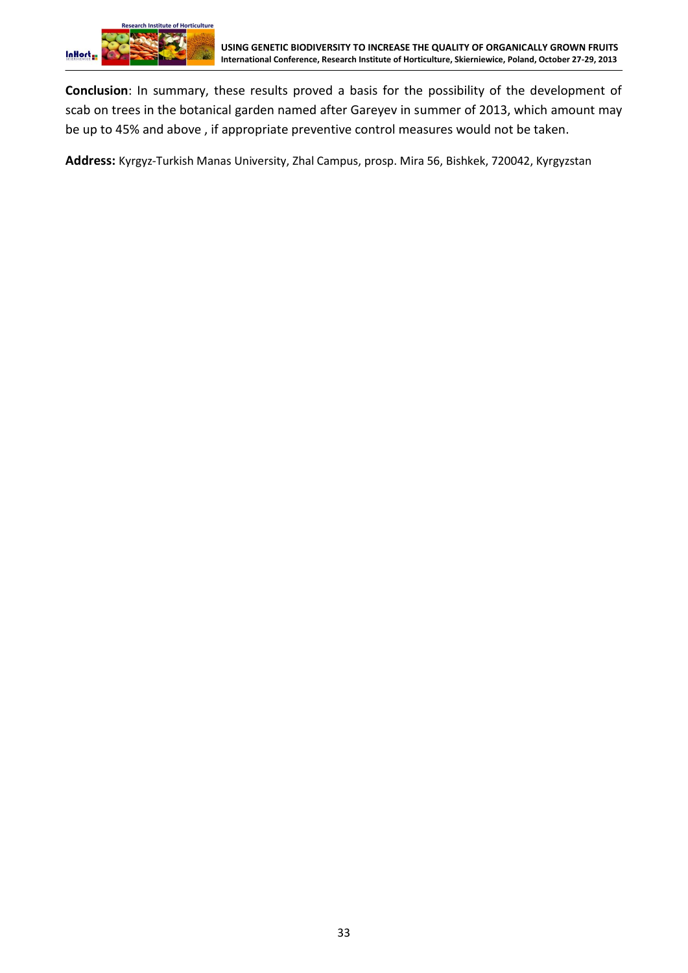**Conclusion**: In summary, these results proved a basis for the possibility of the development of scab on trees in the botanical garden named after Gareyev in summer of 2013, which amount may be up to 45% and above , if appropriate preventive control measures would not be taken.

**Address:** Kyrgyz-Turkish Manas University, Zhal Campus, prosp. Mira 56, Bishkek, 720042, Kyrgyzstan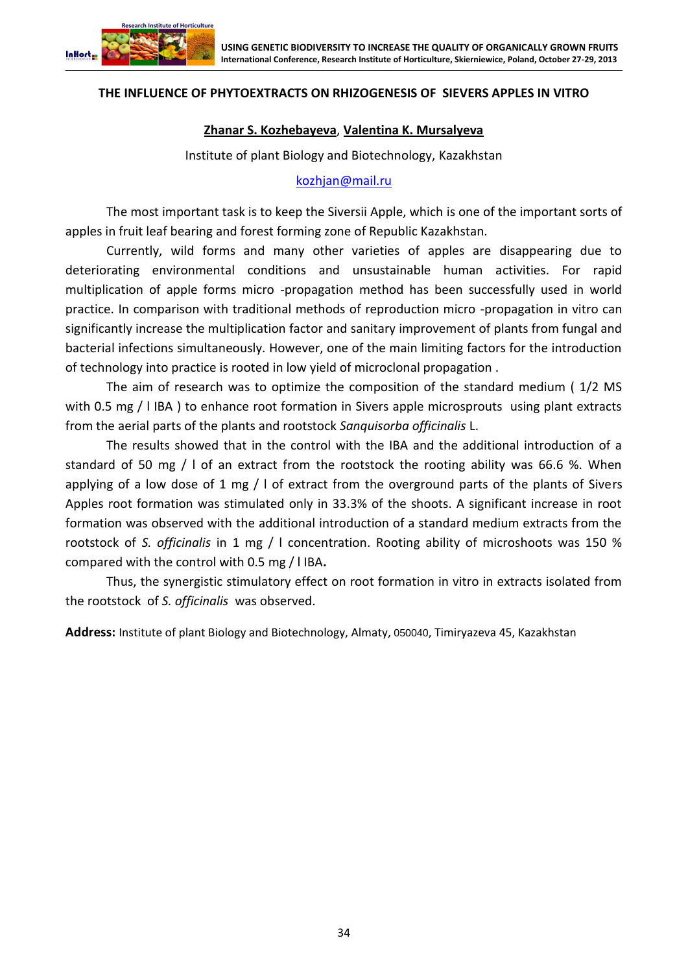

## **THE INFLUENCE OF PHYTOEXTRACTS ON RHIZOGENESIS OF SIEVERS APPLES IN VITRO**

#### **Zhanar S. Kozhebayeva**, **Valentina K. Mursalyeva**

Institute of plant Biology and Biotechnology, Kazakhstan

[kozhjan@mail.ru](mailto:kozhjan@mail.ru)

The most important task is to keep the Siversii Apple, which is one of the important sorts of apples in fruit leaf bearing and forest forming zone of Republic Kazakhstan.

Currently, wild forms and many other varieties of apples are disappearing due to deteriorating environmental conditions and unsustainable human activities. For rapid multiplication of apple forms micro -propagation method has been successfully used in world practice. In comparison with traditional methods of reproduction micro -propagation in vitro can significantly increase the multiplication factor and sanitary improvement of plants from fungal and bacterial infections simultaneously. However, one of the main limiting factors for the introduction of technology into practice is rooted in low yield of microclonal propagation .

The aim of research was to optimize the composition of the standard medium ( 1/2 MS with 0.5 mg / I IBA ) to enhance root formation in Sivers apple microsprouts using plant extracts from the aerial parts of the plants and rootstock *Sanquisorba officinalis* L.

The results showed that in the control with the IBA and the additional introduction of a standard of 50 mg / l of an extract from the rootstock the rooting ability was 66.6 %. When applying of a low dose of 1 mg  $/$  I of extract from the overground parts of the plants of Sivers Apples root formation was stimulated only in 33.3% of the shoots. A significant increase in root formation was observed with the additional introduction of a standard medium extracts from the rootstock of *S. officinalis* in 1 mg / l concentration. Rooting ability of microshoots was 150 % compared with the control with 0.5 mg / l IBA**.**

Thus, the synergistic stimulatory effect on root formation in vitro in extracts isolated from the rootstock of *S. officinalis* was observed.

**Address:** Institute of plant Biology and Biotechnology, Almaty, 050040, Timiryazeva 45, Kazakhstan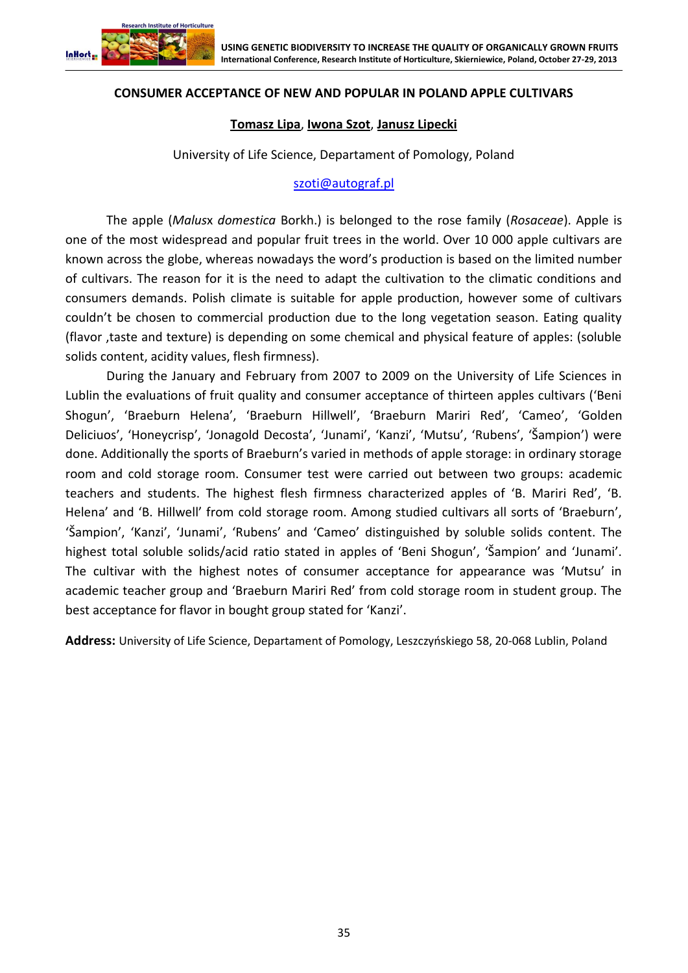

### **CONSUMER ACCEPTANCE OF NEW AND POPULAR IN POLAND APPLE CULTIVARS**

#### **Tomasz Lipa**, **Iwona Szot**, **Janusz Lipecki**

University of Life Science, Departament of Pomology, Poland

#### [szoti@autograf.pl](mailto:szoti@autograf.pl)

The apple (*Malus*x *domestica* Borkh.) is belonged to the rose family (*Rosaceae*). Apple is one of the most widespread and popular fruit trees in the world. Over 10 000 apple cultivars are known across the globe, whereas nowadays the word's production is based on the limited number of cultivars. The reason for it is the need to adapt the cultivation to the climatic conditions and consumers demands. Polish climate is suitable for apple production, however some of cultivars couldn't be chosen to commercial production due to the long vegetation season. Eating quality (flavor ,taste and texture) is depending on some chemical and physical feature of apples: (soluble solids content, acidity values, flesh firmness).

During the January and February from 2007 to 2009 on the University of Life Sciences in Lublin the evaluations of fruit quality and consumer acceptance of thirteen apples cultivars ('Beni Shogun', 'Braeburn Helena', 'Braeburn Hillwell', 'Braeburn Mariri Red', 'Cameo', 'Golden Deliciuos', 'Honeycrisp', 'Jonagold Decosta', 'Junami', 'Kanzi', 'Mutsu', 'Rubens', 'Šampion') were done. Additionally the sports of Braeburn's varied in methods of apple storage: in ordinary storage room and cold storage room. Consumer test were carried out between two groups: academic teachers and students. The highest flesh firmness characterized apples of 'B. Mariri Red', 'B. Helena' and 'B. Hillwell' from cold storage room. Among studied cultivars all sorts of 'Braeburn', 'Šampion', 'Kanzi', 'Junami', 'Rubens' and 'Cameo' distinguished by soluble solids content. The highest total soluble solids/acid ratio stated in apples of 'Beni Shogun', 'Šampion' and 'Junami'. The cultivar with the highest notes of consumer acceptance for appearance was 'Mutsu' in academic teacher group and 'Braeburn Mariri Red' from cold storage room in student group. The best acceptance for flavor in bought group stated for 'Kanzi'.

**Address:** University of Life Science, Departament of Pomology, Leszczyńskiego 58, 20-068 Lublin, Poland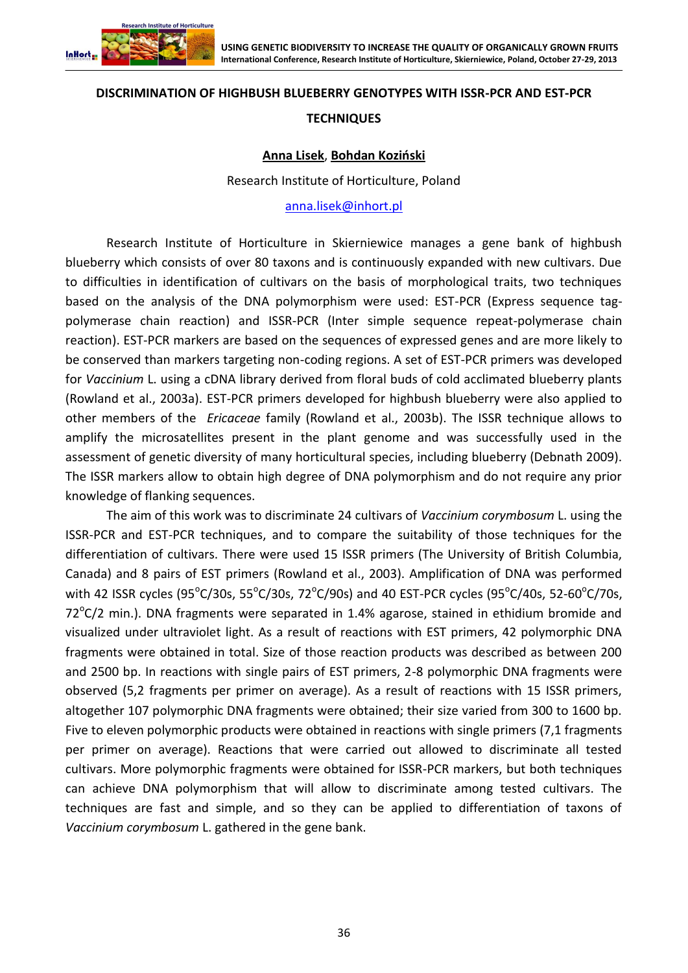

#### **DISCRIMINATION OF HIGHBUSH BLUEBERRY GENOTYPES WITH ISSR-PCR AND EST-PCR**

#### **TECHNIQUES**

#### **Anna Lisek**, **Bohdan Koziński**

Research Institute of Horticulture, Poland

#### [anna.lisek@inhort.pl](mailto:anna.lisek@inhort.pl)

Research Institute of Horticulture in Skierniewice manages a gene bank of highbush blueberry which consists of over 80 taxons and is continuously expanded with new cultivars. Due to difficulties in identification of cultivars on the basis of morphological traits, two techniques based on the analysis of the DNA polymorphism were used: EST-PCR (Express sequence tagpolymerase chain reaction) and ISSR-PCR (Inter simple sequence repeat-polymerase chain reaction). EST-PCR markers are based on the sequences of expressed genes and are more likely to be conserved than markers targeting non-coding regions. A set of EST-PCR primers was developed for *Vaccinium* L. using a cDNA library derived from floral buds of cold acclimated blueberry plants (Rowland et al., 2003a). EST-PCR primers developed for highbush blueberry were also applied to other members of the *Ericaceae* family (Rowland et al., 2003b). The ISSR technique allows to amplify the microsatellites present in the plant genome and was successfully used in the assessment of genetic diversity of many horticultural species, including blueberry (Debnath 2009). The ISSR markers allow to obtain high degree of DNA polymorphism and do not require any prior knowledge of flanking sequences.

The aim of this work was to discriminate 24 cultivars of *Vaccinium corymbosum* L. using the ISSR-PCR and EST-PCR techniques, and to compare the suitability of those techniques for the differentiation of cultivars. There were used 15 ISSR primers (The University of British Columbia, Canada) and 8 pairs of EST primers (Rowland et al., 2003). Amplification of DNA was performed with 42 ISSR cycles (95°C/30s, 55°C/30s, 72°C/90s) and 40 EST-PCR cycles (95°C/40s, 52-60°C/70s, 72°C/2 min.). DNA fragments were separated in 1.4% agarose, stained in ethidium bromide and visualized under ultraviolet light. As a result of reactions with EST primers, 42 polymorphic DNA fragments were obtained in total. Size of those reaction products was described as between 200 and 2500 bp. In reactions with single pairs of EST primers, 2-8 polymorphic DNA fragments were observed (5,2 fragments per primer on average). As a result of reactions with 15 ISSR primers, altogether 107 polymorphic DNA fragments were obtained; their size varied from 300 to 1600 bp. Five to eleven polymorphic products were obtained in reactions with single primers (7,1 fragments per primer on average). Reactions that were carried out allowed to discriminate all tested cultivars. More polymorphic fragments were obtained for ISSR-PCR markers, but both techniques can achieve DNA polymorphism that will allow to discriminate among tested cultivars. The techniques are fast and simple, and so they can be applied to differentiation of taxons of *Vaccinium corymbosum* L. gathered in the gene bank.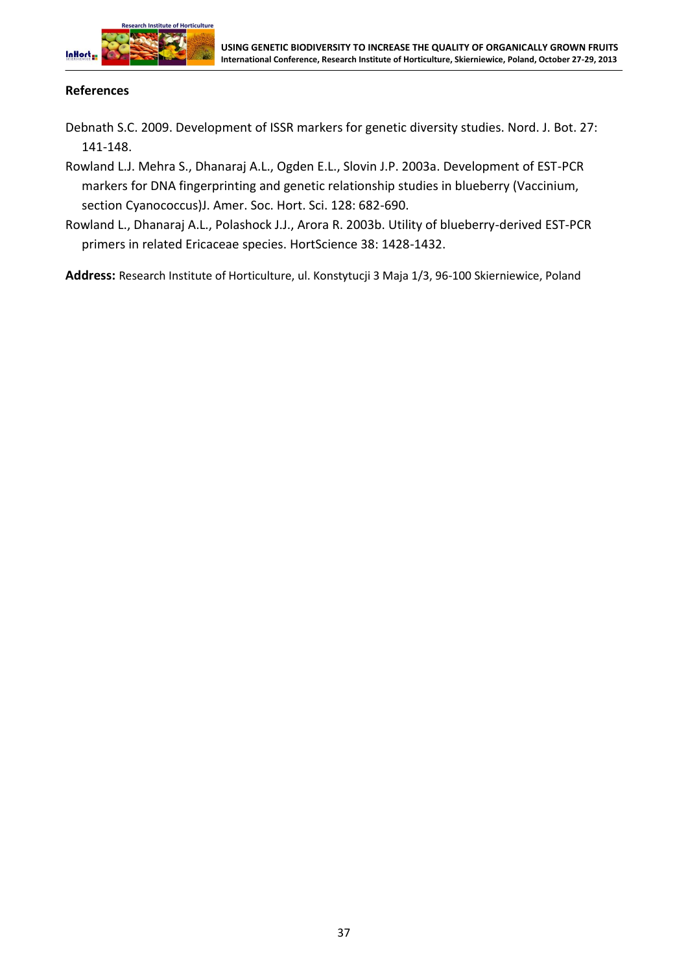

# **References**

- Debnath S.C. 2009. Development of ISSR markers for genetic diversity studies. Nord. J. Bot. 27: 141-148.
- Rowland L.J. Mehra S., Dhanaraj A.L., Ogden E.L., Slovin J.P. 2003a. Development of EST-PCR markers for DNA fingerprinting and genetic relationship studies in blueberry (Vaccinium, section Cyanococcus)J. Amer. Soc. Hort. Sci. 128: 682-690.
- Rowland L., Dhanaraj A.L., Polashock J.J., Arora R. 2003b. Utility of blueberry-derived EST-PCR primers in related Ericaceae species. HortScience 38: 1428-1432.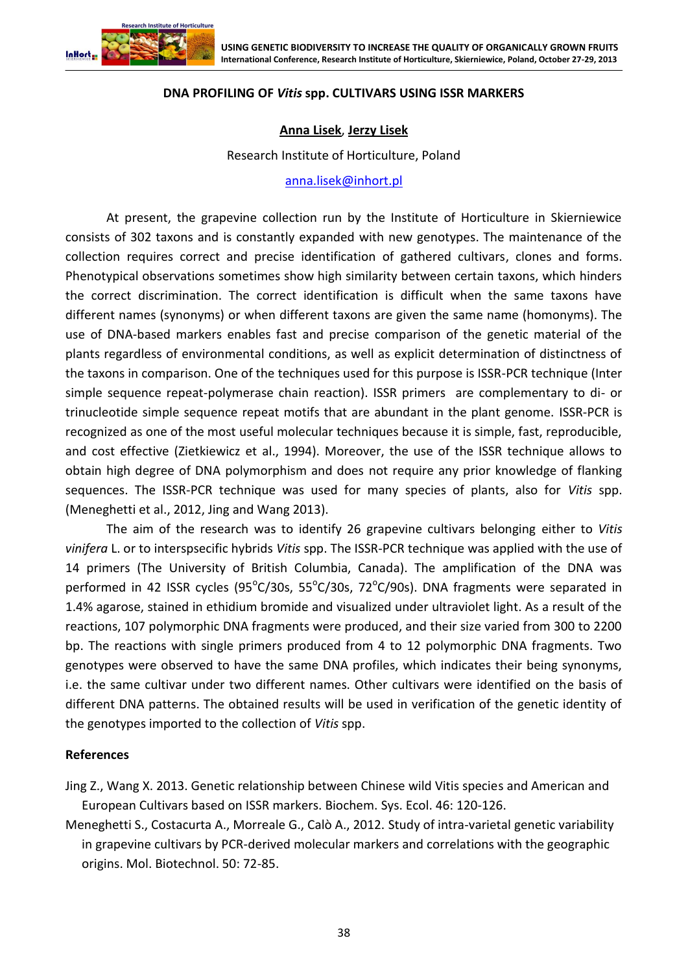

## **DNA PROFILING OF** *Vitis* **spp. CULTIVARS USING ISSR MARKERS**

## **Anna Lisek**, **Jerzy Lisek**

Research Institute of Horticulture, Poland

[anna.lisek@inhort.pl](mailto:anna.lisek@inhort.pl)

At present, the grapevine collection run by the Institute of Horticulture in Skierniewice consists of 302 taxons and is constantly expanded with new genotypes. The maintenance of the collection requires correct and precise identification of gathered cultivars, clones and forms. Phenotypical observations sometimes show high similarity between certain taxons, which hinders the correct discrimination. The correct identification is difficult when the same taxons have different names (synonyms) or when different taxons are given the same name (homonyms). The use of DNA-based markers enables fast and precise comparison of the genetic material of the plants regardless of environmental conditions, as well as explicit determination of distinctness of the taxons in comparison. One of the techniques used for this purpose is ISSR-PCR technique (Inter simple sequence repeat-polymerase chain reaction). ISSR primers are complementary to di- or trinucleotide simple sequence repeat motifs that are abundant in the plant genome. ISSR-PCR is recognized as one of the most useful molecular techniques because it is simple, fast, reproducible, and cost effective (Zietkiewicz et al., 1994). Moreover, the use of the ISSR technique allows to obtain high degree of DNA polymorphism and does not require any prior knowledge of flanking sequences. The ISSR-PCR technique was used for many species of plants, also for *Vitis* spp. (Meneghetti et al., 2012, Jing and Wang 2013).

The aim of the research was to identify 26 grapevine cultivars belonging either to *Vitis vinifera* L. or to interspsecific hybrids *Vitis* spp. The ISSR-PCR technique was applied with the use of 14 primers (The University of British Columbia, Canada). The amplification of the DNA was performed in 42 ISSR cycles (95°C/30s, 55°C/30s, 72°C/90s). DNA fragments were separated in 1.4% agarose, stained in ethidium bromide and visualized under ultraviolet light. As a result of the reactions, 107 polymorphic DNA fragments were produced, and their size varied from 300 to 2200 bp. The reactions with single primers produced from 4 to 12 polymorphic DNA fragments. Two genotypes were observed to have the same DNA profiles, which indicates their being synonyms, i.e. the same cultivar under two different names. Other cultivars were identified on the basis of different DNA patterns. The obtained results will be used in verification of the genetic identity of the genotypes imported to the collection of *Vitis* spp.

#### **References**

Jing Z., Wang X. 2013. Genetic relationship between Chinese wild Vitis species and American and European Cultivars based on ISSR markers. Biochem. Sys. Ecol. 46: 120-126.

Meneghetti S., Costacurta A., Morreale G., Calò A., 2012. Study of intra-varietal genetic variability in grapevine cultivars by PCR-derived molecular markers and correlations with the geographic origins. Mol. Biotechnol. 50: 72-85.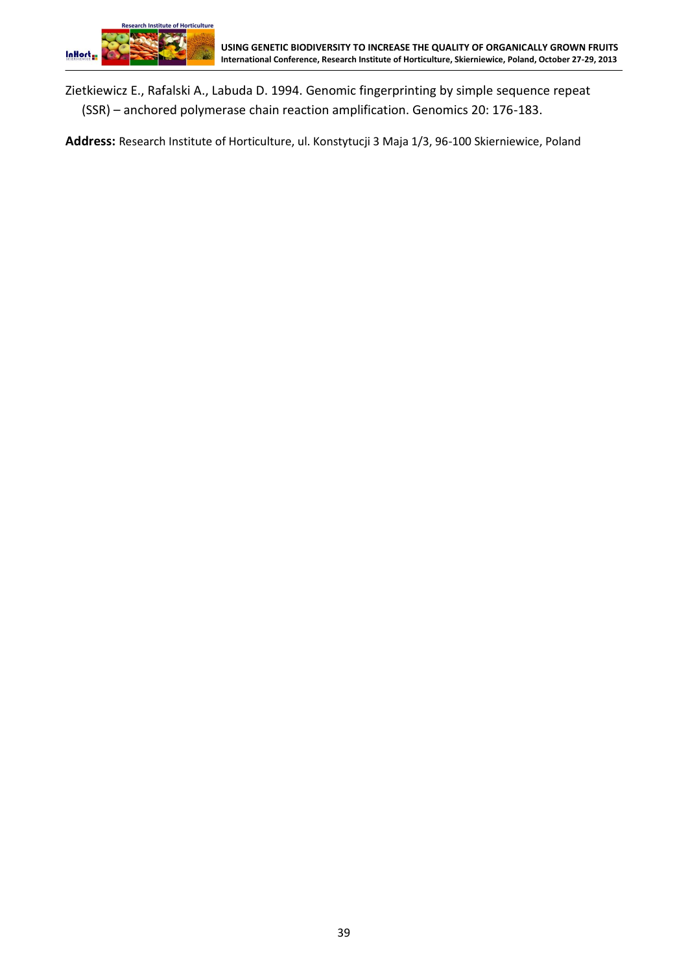Zietkiewicz E., Rafalski A., Labuda D. 1994. Genomic fingerprinting by simple sequence repeat (SSR) – anchored polymerase chain reaction amplification. Genomics 20: 176-183.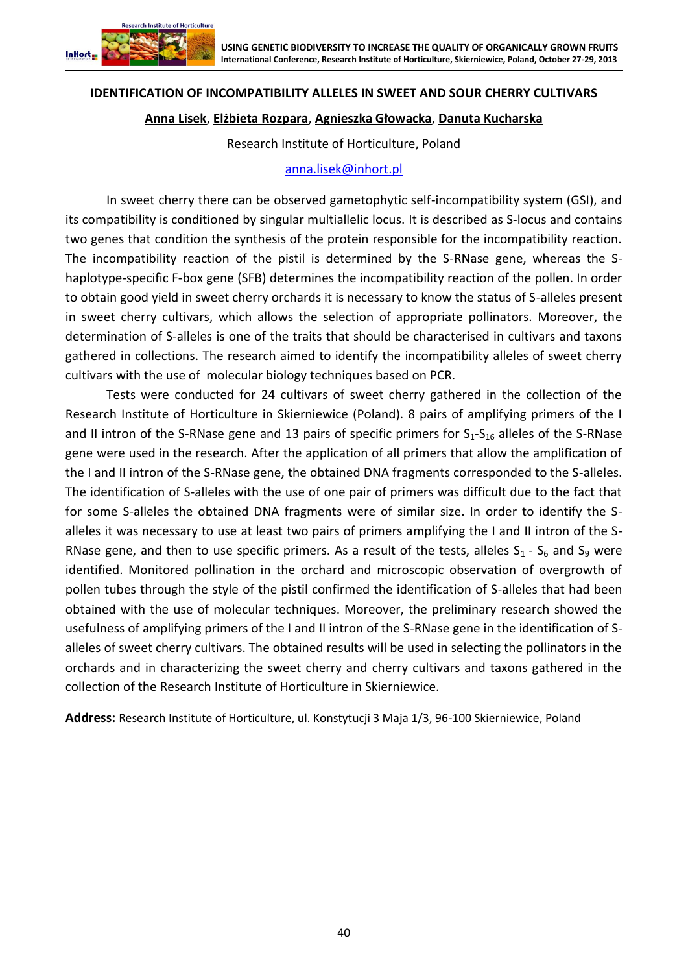

## **IDENTIFICATION OF INCOMPATIBILITY ALLELES IN SWEET AND SOUR CHERRY CULTIVARS**

# **Anna Lisek**, **Elżbieta Rozpara**, **Agnieszka Głowacka**, **Danuta Kucharska**

Research Institute of Horticulture, Poland

## [anna.lisek@inhort.pl](mailto:anna.lisek@inhort.pl)

In sweet cherry there can be observed gametophytic self-incompatibility system (GSI), and its compatibility is conditioned by singular multiallelic locus. It is described as S-locus and contains two genes that condition the synthesis of the protein responsible for the incompatibility reaction. The incompatibility reaction of the pistil is determined by the S-RNase gene, whereas the Shaplotype-specific F-box gene (SFB) determines the incompatibility reaction of the pollen. In order to obtain good yield in sweet cherry orchards it is necessary to know the status of S-alleles present in sweet cherry cultivars, which allows the selection of appropriate pollinators. Moreover, the determination of S-alleles is one of the traits that should be characterised in cultivars and taxons gathered in collections. The research aimed to identify the incompatibility alleles of sweet cherry cultivars with the use of molecular biology techniques based on PCR.

Tests were conducted for 24 cultivars of sweet cherry gathered in the collection of the Research Institute of Horticulture in Skierniewice (Poland). 8 pairs of amplifying primers of the I and II intron of the S-RNase gene and 13 pairs of specific primers for  $S_1-S_{16}$  alleles of the S-RNase gene were used in the research. After the application of all primers that allow the amplification of the I and II intron of the S-RNase gene, the obtained DNA fragments corresponded to the S-alleles. The identification of S-alleles with the use of one pair of primers was difficult due to the fact that for some S-alleles the obtained DNA fragments were of similar size. In order to identify the Salleles it was necessary to use at least two pairs of primers amplifying the I and II intron of the S-RNase gene, and then to use specific primers. As a result of the tests, alleles  $S_1$  -  $S_6$  and  $S_9$  were identified. Monitored pollination in the orchard and microscopic observation of overgrowth of pollen tubes through the style of the pistil confirmed the identification of S-alleles that had been obtained with the use of molecular techniques. Moreover, the preliminary research showed the usefulness of amplifying primers of the I and II intron of the S-RNase gene in the identification of Salleles of sweet cherry cultivars. The obtained results will be used in selecting the pollinators in the orchards and in characterizing the sweet cherry and cherry cultivars and taxons gathered in the collection of the Research Institute of Horticulture in Skierniewice.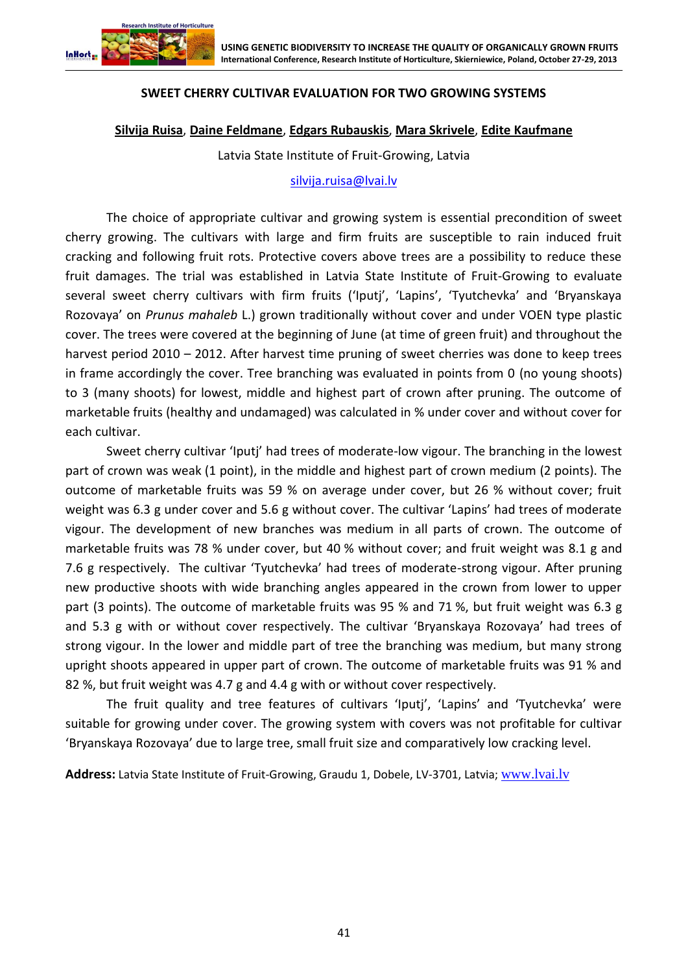

### **SWEET CHERRY CULTIVAR EVALUATION FOR TWO GROWING SYSTEMS**

#### **Silvija Ruisa**, **Daine Feldmane**, **Edgars Rubauskis**, **Mara Skrivele**, **Edite Kaufmane**

Latvia State Institute of Fruit-Growing, Latvia

#### [silvija.ruisa@lvai.lv](file:///C:/Users/Witek/AppData/Roaming/Microsoft/Word/silvija.ruisa@lvai.lv)

The choice of appropriate cultivar and growing system is essential precondition of sweet cherry growing. The cultivars with large and firm fruits are susceptible to rain induced fruit cracking and following fruit rots. Protective covers above trees are a possibility to reduce these fruit damages. The trial was established in Latvia State Institute of Fruit-Growing to evaluate several sweet cherry cultivars with firm fruits ('Iputj', 'Lapins', 'Tyutchevka' and 'Bryanskaya Rozovaya' on *Prunus mahaleb* L.) grown traditionally without cover and under VOEN type plastic cover. The trees were covered at the beginning of June (at time of green fruit) and throughout the harvest period 2010 – 2012. After harvest time pruning of sweet cherries was done to keep trees in frame accordingly the cover. Tree branching was evaluated in points from 0 (no young shoots) to 3 (many shoots) for lowest, middle and highest part of crown after pruning. The outcome of marketable fruits (healthy and undamaged) was calculated in % under cover and without cover for each cultivar.

Sweet cherry cultivar 'Iputj' had trees of moderate-low vigour. The branching in the lowest part of crown was weak (1 point), in the middle and highest part of crown medium (2 points). The outcome of marketable fruits was 59 % on average under cover, but 26 % without cover; fruit weight was 6.3 g under cover and 5.6 g without cover. The cultivar 'Lapins' had trees of moderate vigour. The development of new branches was medium in all parts of crown. The outcome of marketable fruits was 78 % under cover, but 40 % without cover; and fruit weight was 8.1 g and 7.6 g respectively. The cultivar 'Tyutchevka' had trees of moderate-strong vigour. After pruning new productive shoots with wide branching angles appeared in the crown from lower to upper part (3 points). The outcome of marketable fruits was 95 % and 71 %, but fruit weight was 6.3 g and 5.3 g with or without cover respectively. The cultivar 'Bryanskaya Rozovaya' had trees of strong vigour. In the lower and middle part of tree the branching was medium, but many strong upright shoots appeared in upper part of crown. The outcome of marketable fruits was 91 % and 82 %, but fruit weight was 4.7 g and 4.4 g with or without cover respectively.

The fruit quality and tree features of cultivars 'Iputj', 'Lapins' and 'Tyutchevka' were suitable for growing under cover. The growing system with covers was not profitable for cultivar 'Bryanskaya Rozovaya' due to large tree, small fruit size and comparatively low cracking level.

**Address:** Latvia State Institute of Fruit-Growing, Graudu 1, Dobele, LV-3701, Latvia; [www.lvai.lv](http://www.lvai.lv/)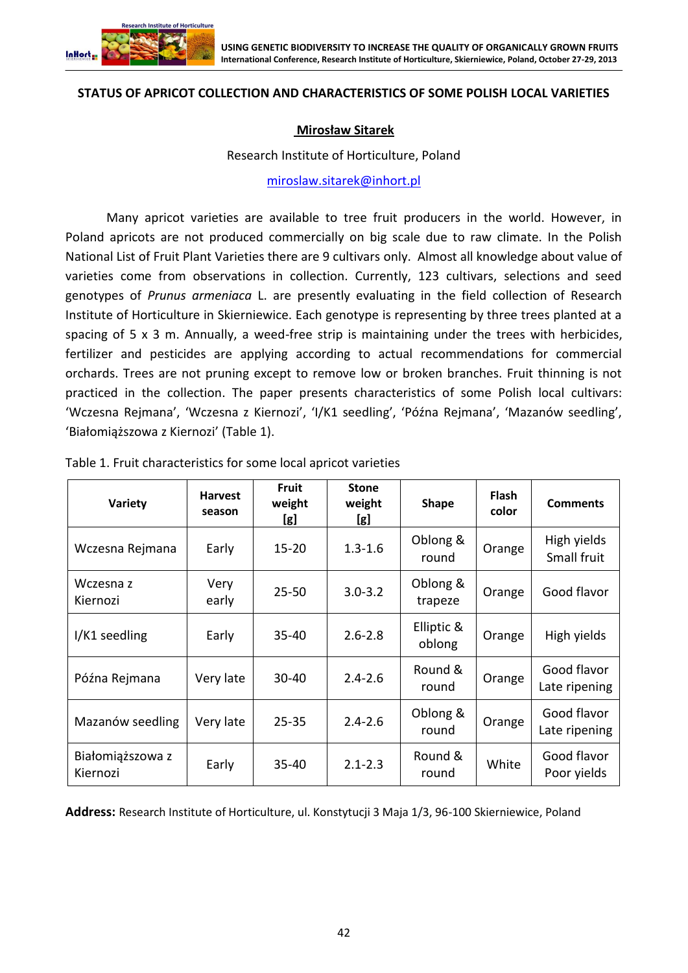

### **STATUS OF APRICOT COLLECTION AND CHARACTERISTICS OF SOME POLISH LOCAL VARIETIES**

## **Mirosław Sitarek**

#### Research Institute of Horticulture, Poland

[miroslaw.sitarek@inhort.pl](mailto:miroslaw.sitarek@inhort.pl)

Many apricot varieties are available to tree fruit producers in the world. However, in Poland apricots are not produced commercially on big scale due to raw climate. In the Polish National List of Fruit Plant Varieties there are 9 cultivars only. Almost all knowledge about value of varieties come from observations in collection. Currently, 123 cultivars, selections and seed genotypes of *Prunus armeniaca* L. are presently evaluating in the field collection of Research Institute of Horticulture in Skierniewice. Each genotype is representing by three trees planted at a spacing of 5 x 3 m. Annually, a weed-free strip is maintaining under the trees with herbicides, fertilizer and pesticides are applying according to actual recommendations for commercial orchards. Trees are not pruning except to remove low or broken branches. Fruit thinning is not practiced in the collection. The paper presents characteristics of some Polish local cultivars: 'Wczesna Rejmana', 'Wczesna z Kiernozi', 'I/K1 seedling', 'Późna Rejmana', 'Mazanów seedling', 'Białomiąższowa z Kiernozi' (Table 1).

| Variety                      | <b>Harvest</b><br>season | <b>Fruit</b><br>weight<br>[g] | <b>Stone</b><br>weight<br>[g] | <b>Shape</b>         | <b>Flash</b><br>color | <b>Comments</b>              |
|------------------------------|--------------------------|-------------------------------|-------------------------------|----------------------|-----------------------|------------------------------|
| Wczesna Rejmana              | Early                    | $15 - 20$                     | $1.3 - 1.6$                   | Oblong &<br>round    | Orange                | High yields<br>Small fruit   |
| Wczesna z<br>Kiernozi        | Very<br>early            | $25 - 50$                     | $3.0 - 3.2$                   | Oblong &<br>trapeze  | Orange                | Good flavor                  |
| I/K1 seedling                | Early                    | 35-40                         | $2.6 - 2.8$                   | Elliptic &<br>oblong | Orange                | High yields                  |
| Późna Rejmana                | Very late                | 30-40                         | $2.4 - 2.6$                   | Round &<br>round     | Orange                | Good flavor<br>Late ripening |
| Mazanów seedling             | Very late                | $25 - 35$                     | $2.4 - 2.6$                   | Oblong &<br>round    | Orange                | Good flavor<br>Late ripening |
| Białomiąższowa z<br>Kiernozi | Early                    | 35-40                         | $2.1 - 2.3$                   | Round &<br>round     | White                 | Good flavor<br>Poor yields   |

Table 1. Fruit characteristics for some local apricot varieties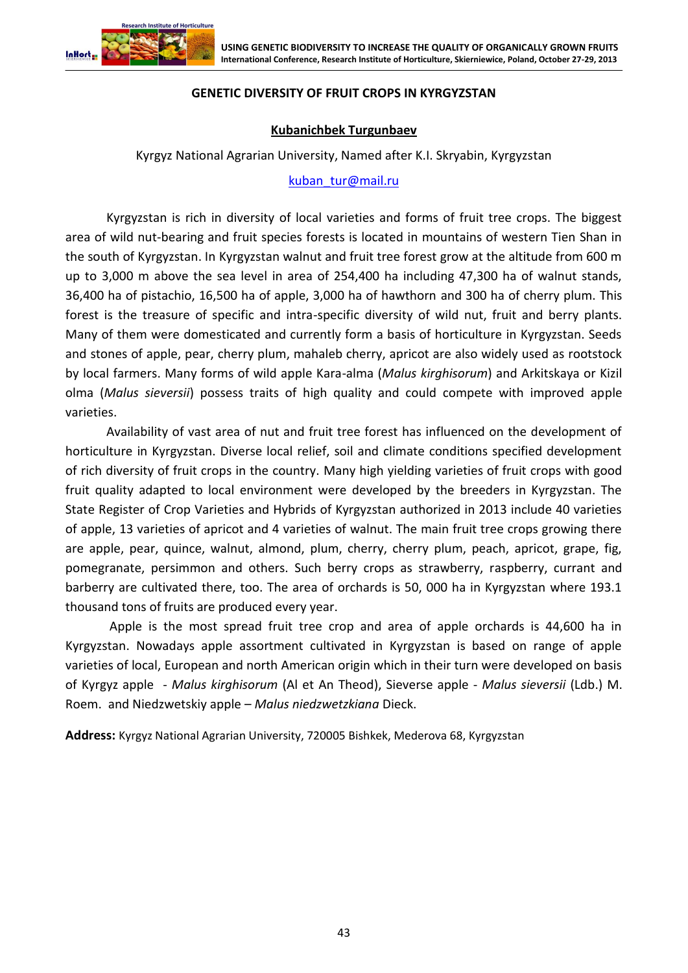

# **GENETIC DIVERSITY OF FRUIT CROPS IN KYRGYZSTAN**

## **Kubanichbek Turgunbaev**

Kyrgyz National Agrarian University, Named after K.I. Skryabin, Kyrgyzstan

#### [kuban\\_tur@mail.ru](mailto:kuban_tur@mail.ru)

Kyrgyzstan is rich in diversity of local varieties and forms of fruit tree crops. The biggest area of wild nut-bearing and fruit species forests is located in mountains of western Tien Shan in the south of Kyrgyzstan. In Kyrgyzstan walnut and fruit tree forest grow at the altitude from 600 m up to 3,000 m above the sea level in area of 254,400 ha including 47,300 ha of walnut stands, 36,400 ha of pistachio, 16,500 ha of apple, 3,000 ha of hawthorn and 300 ha of cherry plum. This forest is the treasure of specific and intra-specific diversity of wild nut, fruit and berry plants. Many of them were domesticated and currently form a basis of horticulture in Kyrgyzstan. Seeds and stones of apple, pear, cherry plum, mahaleb cherry, apricot are also widely used as rootstock by local farmers. Many forms of wild apple Kara-alma (*Malus kirghisorum*) and Arkitskaya or Kizil olma (*Malus sieversii*) possess traits of high quality and could compete with improved apple varieties.

Availability of vast area of nut and fruit tree forest has influenced on the development of horticulture in Kyrgyzstan. Diverse local relief, soil and climate conditions specified development of rich diversity of fruit crops in the country. Many high yielding varieties of fruit crops with good fruit quality adapted to local environment were developed by the breeders in Kyrgyzstan. The State Register of Crop Varieties and Hybrids of Kyrgyzstan authorized in 2013 include 40 varieties of apple, 13 varieties of apricot and 4 varieties of walnut. The main fruit tree crops growing there are apple, pear, quince, walnut, almond, plum, cherry, cherry plum, peach, apricot, grape, fig, pomegranate, persimmon and others. Such berry crops as strawberry, raspberry, currant and barberry are cultivated there, too. The area of orchards is 50, 000 ha in Kyrgyzstan where 193.1 thousand tons of fruits are produced every year.

Apple is the most spread fruit tree crop and area of apple orchards is 44,600 ha in Kyrgyzstan. Nowadays apple assortment cultivated in Kyrgyzstan is based on range of apple varieties of local, European and north American origin which in their turn were developed on basis of Kyrgyz apple - *Malus kirghisorum* (Al et An Theod), Sieverse apple - *Malus sieversii* (Ldb.) M. Roem. and Niedzwetskiy apple – *Malus niedzwetzkiana* Dieck.

**Address:** Kyrgyz National Agrarian University, 720005 Bishkek, Mederova 68, Kyrgyzstan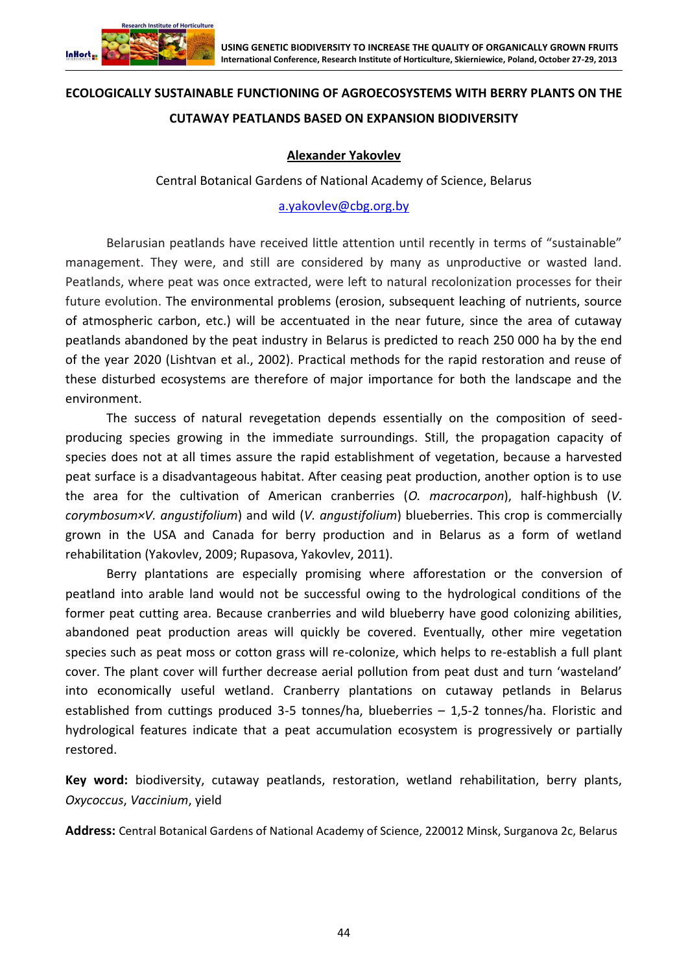

# **ECOLOGICALLY SUSTAINABLE FUNCTIONING OF AGROECOSYSTEMS WITH BERRY PLANTS ON THE CUTAWAY PEATLANDS BASED ON EXPANSION BIODIVERSITY**

# **Alexander Yakovlev**

Central Botanical Gardens of National Academy of Science, Belarus

#### [a.yakovlev@cbg.org.by](file:///C:/Users/Witek/AppData/Roaming/Microsoft/Word/a.yakovlev@cbg.org.by)

Belarusian peatlands have received little attention until recently in terms of "sustainable" management. They were, and still are considered by many as unproductive or wasted land. Peatlands, where peat was once extracted, were left to natural recolonization processes for their future evolution. The environmental problems (erosion, subsequent leaching of nutrients, source of atmospheric carbon, etc.) will be accentuated in the near future, since the area of cutaway peatlands abandoned by the peat industry in Belarus is predicted to reach 250 000 ha by the end of the year 2020 (Lishtvan et al., 2002). Practical methods for the rapid restoration and reuse of these disturbed ecosystems are therefore of major importance for both the landscape and the environment.

The success of natural revegetation depends essentially on the composition of seedproducing species growing in the immediate surroundings. Still, the propagation capacity of species does not at all times assure the rapid establishment of vegetation, because a harvested peat surface is a disadvantageous habitat. After ceasing peat production, another option is to use the area for the cultivation of American cranberries (*O. macrocarpon*), half-highbush (*V. corymbosum×V. angustifolium*) and wild (*V. angustifolium*) blueberries. This crop is commercially grown in the USA and Canada for berry production and in Belarus as a form of wetland rehabilitation (Yakovlev, 2009; Rupasova, Yakovlev, 2011).

Berry plantations are especially promising where afforestation or the conversion of peatland into arable land would not be successful owing to the hydrological conditions of the former peat cutting area. Because cranberries and wild blueberry have good colonizing abilities, abandoned peat production areas will quickly be covered. Eventually, other mire vegetation species such as peat moss or cotton grass will re-colonize, which helps to re-establish a full plant cover. The plant cover will further decrease aerial pollution from peat dust and turn 'wasteland' into economically useful wetland. Cranberry plantations on cutaway petlands in Belarus established from cuttings produced 3-5 tonnes/ha, blueberries – 1,5-2 tonnes/ha. Floristic and hydrological features indicate that a peat accumulation ecosystem is progressively or partially restored.

**Key word:** biodiversity, cutaway peatlands, restoration, wetland rehabilitation, berry plants, *Oxycoccus*, *Vaccinium*, yield

**Address:** Central Botanical Gardens of National Academy of Science, 220012 Minsk, Surganova 2c, Belarus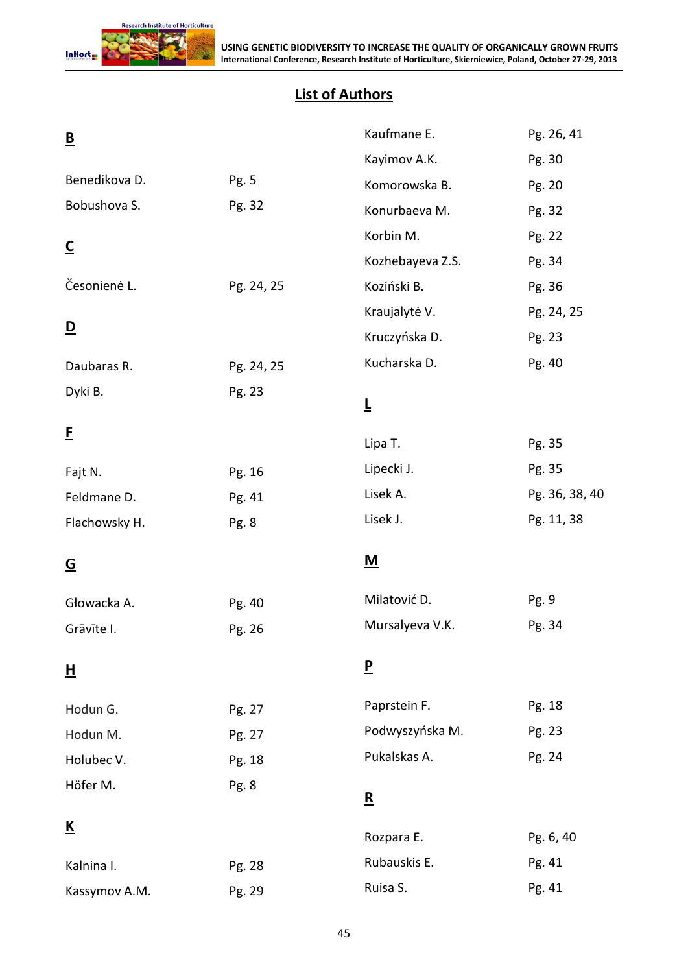

# **List of Authors**

| $\underline{\mathsf{B}}$ |            | Kaufmane E.              | Pg. 26, 41     |
|--------------------------|------------|--------------------------|----------------|
|                          |            | Kayimov A.K.             | Pg. 30         |
| Benedikova D.            | Pg. 5      | Komorowska B.            | Pg. 20         |
| Bobushova S.             | Pg. 32     | Konurbaeva M.            | Pg. 32         |
| $\overline{\mathsf{c}}$  |            | Korbin M.                | Pg. 22         |
|                          |            | Kozhebayeva Z.S.         | Pg. 34         |
| Česonienė L.             | Pg. 24, 25 | Koziński B.              | Pg. 36         |
|                          |            | Kraujalytė V.            | Pg. 24, 25     |
| $\overline{\mathsf{D}}$  |            | Kruczyńska D.            | Pg. 23         |
| Daubaras R.              | Pg. 24, 25 | Kucharska D.             | Pg. 40         |
| Dyki B.                  | Pg. 23     |                          |                |
|                          |            | Ţ                        |                |
| E                        |            | Lipa T.                  | Pg. 35         |
| Fajt N.                  | Pg. 16     | Lipecki J.               | Pg. 35         |
| Feldmane D.              | Pg. 41     | Lisek A.                 | Pg. 36, 38, 40 |
| Flachowsky H.            | Pg. 8      | Lisek J.                 | Pg. 11, 38     |
| <u>G</u>                 |            | <u>M</u>                 |                |
| Głowacka A.              | Pg. 40     | Milatović D.             | Pg. 9          |
| Grāvīte I.               | Pg. 26     | Mursalyeva V.K.          | Pg. 34         |
| 旦                        |            | $\overline{P}$           |                |
| Hodun G.                 | Pg. 27     | Paprstein F.             | Pg. 18         |
| Hodun M.                 | Pg. 27     | Podwyszyńska M.          | Pg. 23         |
| Holubec V.               | Pg. 18     | Pukalskas A.             | Pg. 24         |
| Höfer M.                 | Pg. 8      | $\underline{\mathbf{R}}$ |                |
|                          |            |                          |                |
| <u>K</u>                 |            | Rozpara E.               | Pg. 6, 40      |
| Kalnina I.               | Pg. 28     | Rubauskis E.             | Pg. 41         |
| Kassymov A.M.            | Pg. 29     | Ruisa S.                 | Pg. 41         |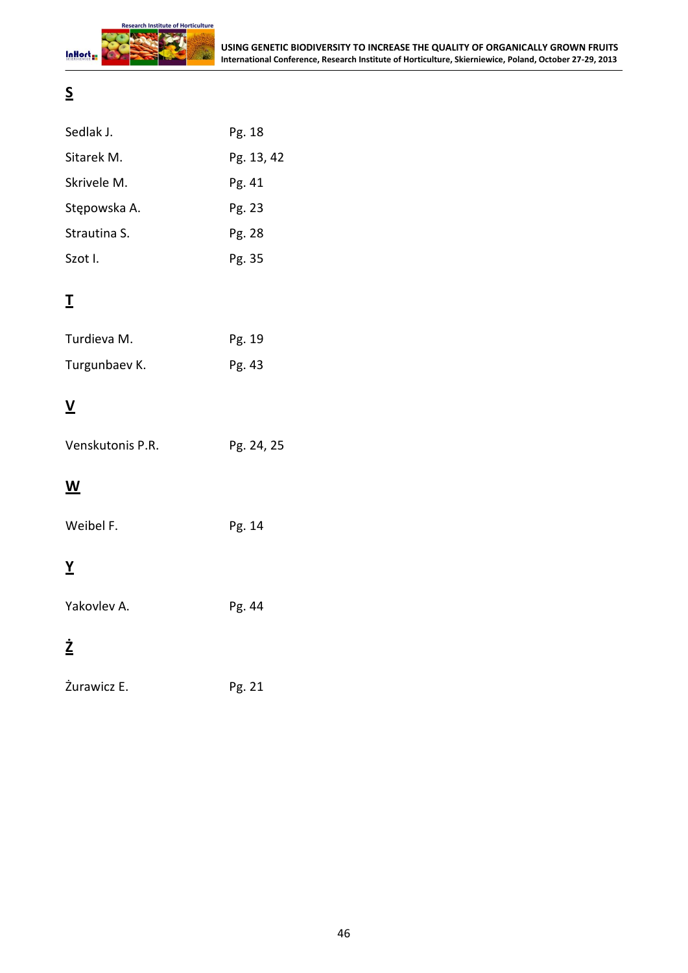

# **S**

| Sedlak J.    | Pg. 18     |
|--------------|------------|
| Sitarek M.   | Pg. 13, 42 |
| Skrivele M.  | Pg. 41     |
| Stępowska A. | Pg. 23     |
| Strautina S. | Pg. 28     |
| Szot I.      | Pg. 35     |

# **T**

| Turdieva M.   | Pg. 19 |
|---------------|--------|
| Turgunbaev K. | Pg. 43 |

# **V**

| Venskutonis P.R. | Pg. 24, 25 |
|------------------|------------|
|                  |            |

# **W**

| Weibel F. | Pg. 14 |
|-----------|--------|
|           |        |

# **Y**

Yakovlev A. Pg. 44

# **Ż**

| Žurawicz E. | Pg. 21 |
|-------------|--------|
|-------------|--------|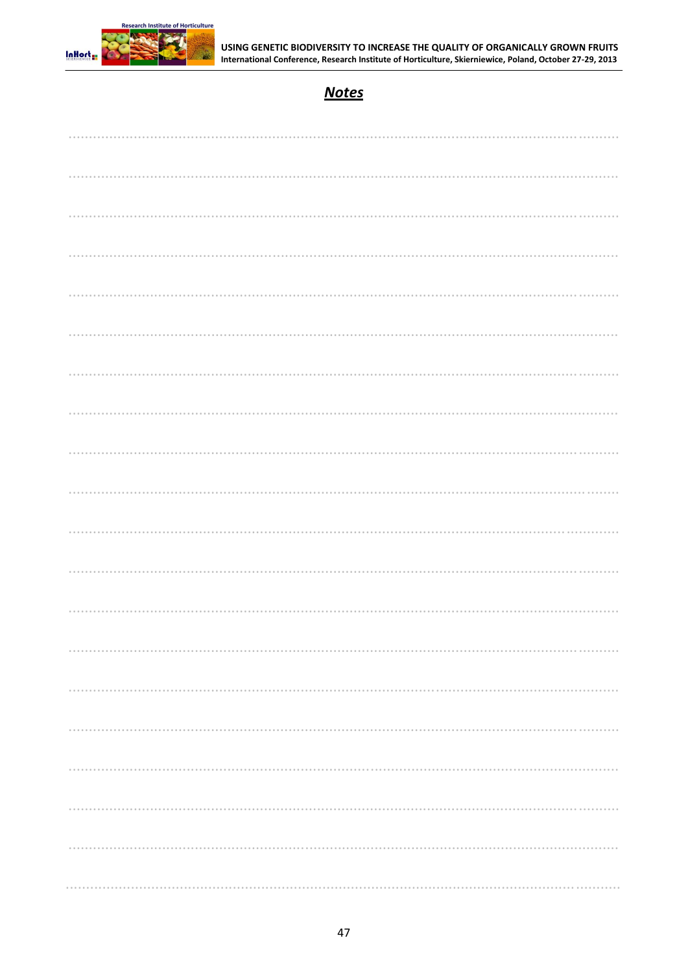

# **Notes**